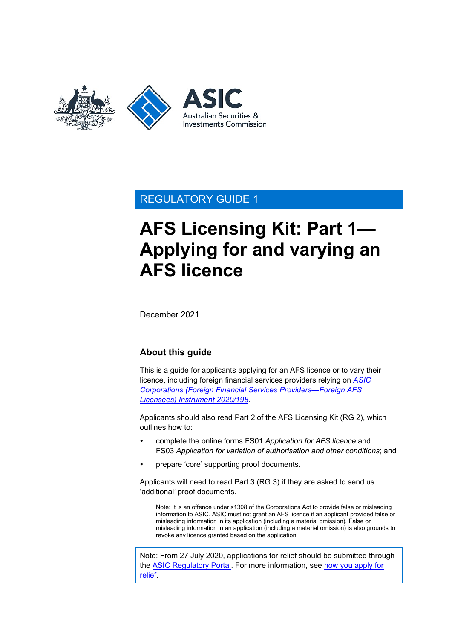

## REGULATORY GUIDE 1

# **AFS Licensing Kit: Part 1— Applying for and varying an AFS licence**

December 2021

## **About this guide**

This is a guide for applicants applying for an AFS licence or to vary their licence, including foreign financial services providers relying on *[ASIC](https://www.legislation.gov.au/current/F2020L00237)  [Corporations \(Foreign Financial Services Providers—Foreign AFS](https://www.legislation.gov.au/current/F2020L00237)  [Licensees\) Instrument 2020/198](https://www.legislation.gov.au/current/F2020L00237)*.

Applicants should also read Part 2 of the AFS Licensing Kit (RG 2), which outlines how to:

- complete the online forms FS01 *Application for AFS licence* and FS03 *Application for variation of authorisation and other conditions*; and
- prepare 'core' supporting proof documents.

Applicants will need to read Part 3 (RG 3) if they are asked to send us 'additional' proof documents.

Note: It is an offence under s1308 of the Corporations Act to provide false or misleading information to ASIC. ASIC must not grant an AFS licence if an applicant provided false or misleading information in its application (including a material omission). False or misleading information in an application (including a material omission) is also grounds to revoke any licence granted based on the application.

Note: From 27 July 2020, applications for relief should be submitted through the [ASIC Regulatory Portal.](https://regulatoryportal.asic.gov.au/) For more information, see how you [apply for](https://asic.gov.au/about-asic/dealing-with-asic/apply-for-relief/changes-to-how-you-apply-for-relief/)  [relief.](https://asic.gov.au/about-asic/dealing-with-asic/apply-for-relief/changes-to-how-you-apply-for-relief/)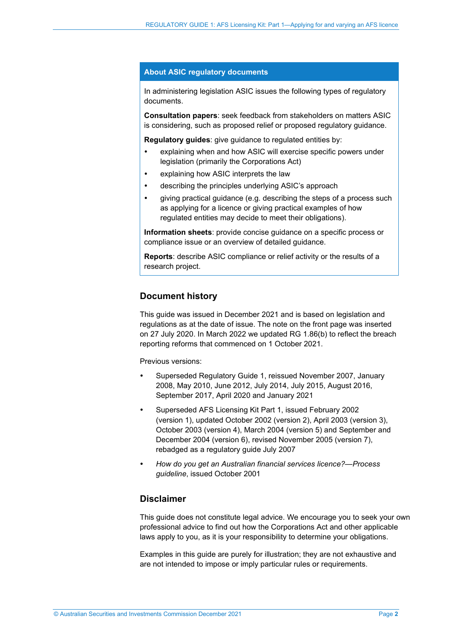#### **About ASIC regulatory documents**

In administering legislation ASIC issues the following types of regulatory documents.

**Consultation papers**: seek feedback from stakeholders on matters ASIC is considering, such as proposed relief or proposed regulatory guidance.

**Regulatory guides:** give guidance to regulated entities by:

- explaining when and how ASIC will exercise specific powers under legislation (primarily the Corporations Act)
- explaining how ASIC interprets the law
- describing the principles underlying ASIC's approach
- giving practical guidance (e.g. describing the steps of a process such as applying for a licence or giving practical examples of how regulated entities may decide to meet their obligations).

**Information sheets**: provide concise guidance on a specific process or compliance issue or an overview of detailed guidance.

**Reports**: describe ASIC compliance or relief activity or the results of a research project.

#### **Document history**

This guide was issued in December 2021 and is based on legislation and regulations as at the date of issue. The note on the front page was inserted on 27 July 2020. In March 2022 we updated RG [1.86\(b\)](#page-23-0) to reflect the breach reporting reforms that commenced on 1 October 2021.

Previous versions:

- Superseded Regulatory Guide 1, reissued November 2007, January 2008, May 2010, June 2012, July 2014, July 2015, August 2016, September 2017, April 2020 and January 2021
- Superseded AFS Licensing Kit Part 1, issued February 2002 (version 1), updated October 2002 (version 2), April 2003 (version 3), October 2003 (version 4), March 2004 (version 5) and September and December 2004 (version 6), revised November 2005 (version 7), rebadged as a regulatory guide July 2007
- *How do you get an Australian financial services licence?—Process guideline*, issued October 2001

#### **Disclaimer**

This guide does not constitute legal advice. We encourage you to seek your own professional advice to find out how the Corporations Act and other applicable laws apply to you, as it is your responsibility to determine your obligations.

Examples in this guide are purely for illustration; they are not exhaustive and are not intended to impose or imply particular rules or requirements.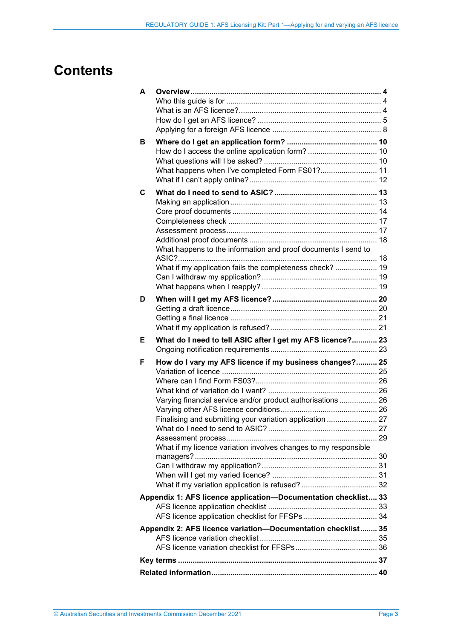## **Contents**

| A |                                                                                                                                                                                                                                                       |  |
|---|-------------------------------------------------------------------------------------------------------------------------------------------------------------------------------------------------------------------------------------------------------|--|
|   |                                                                                                                                                                                                                                                       |  |
| в | What happens when I've completed Form FS01? 11                                                                                                                                                                                                        |  |
| C | What happens to the information and proof documents I send to<br>What if my application fails the completeness check?  19                                                                                                                             |  |
| D |                                                                                                                                                                                                                                                       |  |
|   |                                                                                                                                                                                                                                                       |  |
| Е | What do I need to tell ASIC after I get my AFS licence? 23                                                                                                                                                                                            |  |
| F | How do I vary my AFS licence if my business changes? 25<br>Varying financial service and/or product authorisations  26<br>Finalising and submitting your variation application  27<br>What if my licence variation involves changes to my responsible |  |
|   | Appendix 1: AFS licence application-Documentation checklist 33                                                                                                                                                                                        |  |
|   |                                                                                                                                                                                                                                                       |  |
|   | Appendix 2: AFS licence variation-Documentation checklist 35                                                                                                                                                                                          |  |
|   |                                                                                                                                                                                                                                                       |  |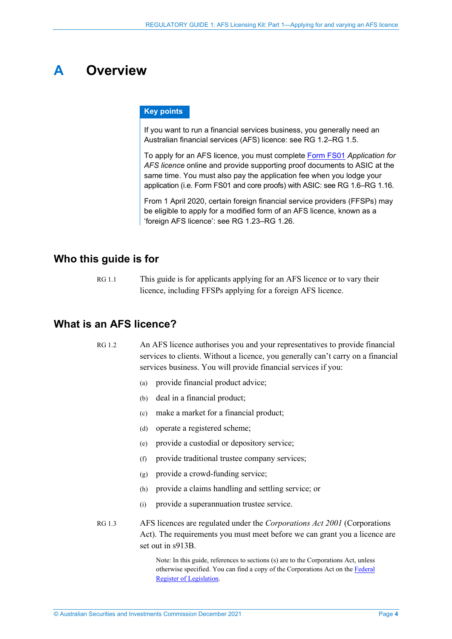## <span id="page-3-0"></span>**A Overview**

#### **Key points**

If you want to run a financial services business, you generally need an Australian financial services (AFS) licence: see [RG](#page-3-3) 1.2[–RG](#page-4-1) 1.5.

To apply for an AFS licence, you must complete [Form FS01](https://asic.gov.au/regulatory-resources/forms/forms-folder/fs01-application-for-afs-licence/) *Application for AFS licence* online and provide supporting proof documents to ASIC at the same time. You must also pay the application fee when you lodge your application (i.e. Form FS01 and core proofs) with ASIC: se[e RG](#page-4-2) 1.6–RG [1.16.](#page-6-0)

From 1 April 2020, certain foreign financial service providers (FFSPs) may be eligible to apply for a modified form of an AFS licence, known as a 'foreign AFS licence': see RG [1.23–](#page-7-1)RG [1.26.](#page-8-0)

### <span id="page-3-1"></span>**Who this guide is for**

RG 1.1 This guide is for applicants applying for an AFS licence or to vary their licence, including FFSPs applying for a foreign AFS licence.

### <span id="page-3-3"></span><span id="page-3-2"></span>**What is an AFS licence?**

- RG 1.2 An AFS licence authorises you and your representatives to provide financial services to clients. Without a licence, you generally can't carry on a financial services business. You will provide financial services if you:
	- (a) provide financial product advice;
	- (b) deal in a financial product;
	- (c) make a market for a financial product;
	- (d) operate a registered scheme;
	- (e) provide a custodial or depository service;
	- (f) provide traditional trustee company services;
	- (g) provide a crowd-funding service;
	- (h) provide a claims handling and settling service; or
	- (i) provide a superannuation trustee service.
- RG 1.3 AFS licences are regulated under the *Corporations Act 2001* (Corporations Act). The requirements you must meet before we can grant you a licence are set out in s913B.

Note: In this guide, references to sections (s) are to the Corporations Act, unless otherwise specified. You can find a copy of the Corporations Act on the Federal [Register of Legislation.](https://www.legislation.gov.au/)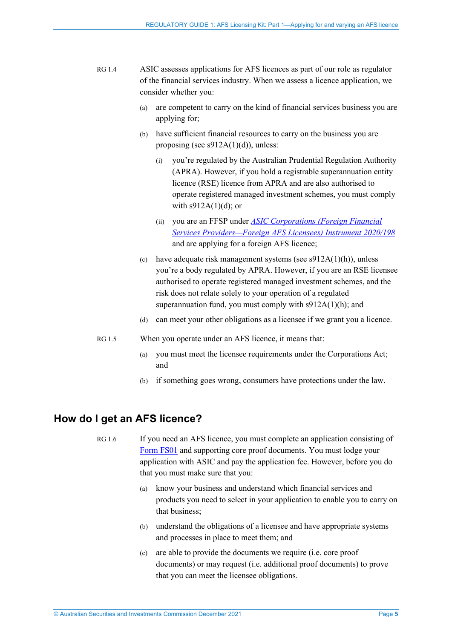- RG 1.4 ASIC assesses applications for AFS licences as part of our role as regulator of the financial services industry. When we assess a licence application, we consider whether you:
	- (a) are competent to carry on the kind of financial services business you are applying for;
	- (b) have sufficient financial resources to carry on the business you are proposing (see s912A(1)(d)), unless:
		- (i) you're regulated by the Australian Prudential Regulation Authority (APRA). However, if you hold a registrable superannuation entity licence (RSE) licence from APRA and are also authorised to operate registered managed investment schemes, you must comply with  $s912A(1)(d)$ ; or
		- (ii) you are an FFSP under *[ASIC Corporations \(Foreign Financial](https://www.legislation.gov.au/current/F2020L00237)  [Services Providers—Foreign AFS Licensees\) Instrument 2020/198](https://www.legislation.gov.au/current/F2020L00237)* and are applying for a foreign AFS licence;
	- (c) have adequate risk management systems (see  $s912A(1)(h)$ ), unless you're a body regulated by APRA. However, if you are an RSE licensee authorised to operate registered managed investment schemes, and the risk does not relate solely to your operation of a regulated superannuation fund, you must comply with s912A(1)(h); and
	- (d) can meet your other obligations as a licensee if we grant you a licence.
- <span id="page-4-1"></span>RG 1.5 When you operate under an AFS licence, it means that:
	- (a) you must meet the licensee requirements under the Corporations Act; and
	- (b) if something goes wrong, consumers have protections under the law.

### <span id="page-4-2"></span><span id="page-4-0"></span>**How do I get an AFS licence?**

- RG 1.6 If you need an AFS licence, you must complete an application consisting of [Form FS01](https://asic.gov.au/regulatory-resources/forms/forms-folder/fs01-application-for-afs-licence/) and supporting core proof documents. You must lodge your application with ASIC and pay the application fee. However, before you do that you must make sure that you:
	- (a) know your business and understand which financial services and products you need to select in your application to enable you to carry on that business;
	- (b) understand the obligations of a licensee and have appropriate systems and processes in place to meet them; and
	- (c) are able to provide the documents we require (i.e. core proof documents) or may request (i.e. additional proof documents) to prove that you can meet the licensee obligations.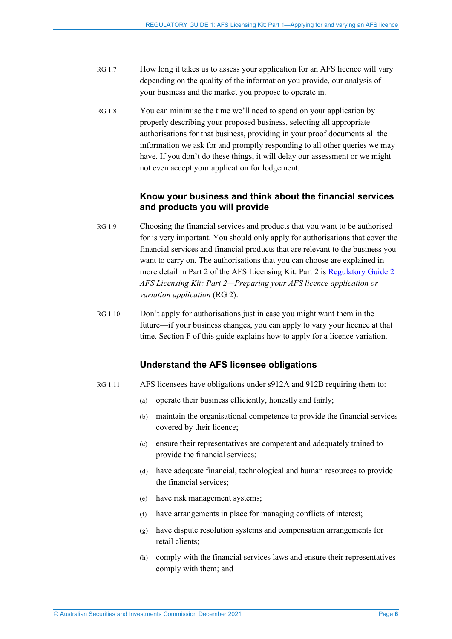- RG 1.7 How long it takes us to assess your application for an AFS licence will vary depending on the quality of the information you provide, our analysis of your business and the market you propose to operate in.
- RG 1.8 You can minimise the time we'll need to spend on your application by properly describing your proposed business, selecting all appropriate authorisations for that business, providing in your proof documents all the information we ask for and promptly responding to all other queries we may have. If you don't do these things, it will delay our assessment or we might not even accept your application for lodgement.

#### **Know your business and think about the financial services and products you will provide**

- RG 1.9 Choosing the financial services and products that you want to be authorised for is very important. You should only apply for authorisations that cover the financial services and financial products that are relevant to the business you want to carry on. The authorisations that you can choose are explained in more detail in Part 2 of the AFS Licensing Kit. Part 2 is [Regulatory Guide 2](http://asic.gov.au/regulatory-resources/find-a-document/regulatory-guides/rg-2-afs-licensing-kit-part-2-preparing-your-afs-licence-application/) *AFS Licensing Kit: Part 2—Preparing your AFS licence application or variation application* (RG 2).
- RG 1.10 Don't apply for authorisations just in case you might want them in the future—if your business changes, you can apply to vary your licence at that time. Section [F](#page-24-0) of this guide explains how to apply for a licence variation.

#### **Understand the AFS licensee obligations**

- RG 1.11 AFS licensees have obligations under s912A and 912B requiring them to:
	- (a) operate their business efficiently, honestly and fairly;
	- (b) maintain the organisational competence to provide the financial services covered by their licence;
	- (c) ensure their representatives are competent and adequately trained to provide the financial services;
	- (d) have adequate financial, technological and human resources to provide the financial services;
	- (e) have risk management systems;
	- (f) have arrangements in place for managing conflicts of interest;
	- (g) have dispute resolution systems and compensation arrangements for retail clients;
	- (h) comply with the financial services laws and ensure their representatives comply with them; and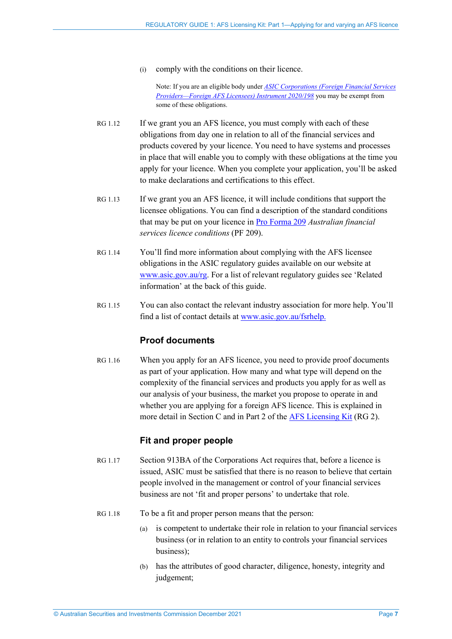(i) comply with the conditions on their licence.

Note: If you are an eligible body under *[ASIC Corporations \(Foreign Financial Services](https://www.legislation.gov.au/current/F2020L00237)  [Providers—Foreign AFS Licensees\) Instrument 2020/198](https://www.legislation.gov.au/current/F2020L00237)* you may be exempt from some of these obligations.

- RG 1.12 If we grant you an AFS licence, you must comply with each of these obligations from day one in relation to all of the financial services and products covered by your licence. You need to have systems and processes in place that will enable you to comply with these obligations at the time you apply for your licence. When you complete your application, you'll be asked to make declarations and certifications to this effect.
- RG 1.13 If we grant you an AFS licence, it will include conditions that support the licensee obligations. You can find a description of the standard conditions that may be put on your licence in [Pro Forma 209](https://asic.gov.au/for-finance-professionals/afs-licensees/applying-for-and-managing-an-afs-licence/australian-financial-services-licence-conditions-pro-forma-209/) *Australian financial services licence conditions* (PF 209).
- RG 1.14 You'll find more information about complying with the AFS licensee obligations in the ASIC regulatory guides available on our website at [www.asic.gov.au/rg.](http://www.asic.gov.au/rg) For a list of relevant regulatory guides see 'Related information' at the back of this guide.
- RG 1.15 You can also contact the relevant industry association for more help. You'll find a list of contact details at [www.asic.gov.au/fsrhelp.](http://www.asic.gov.au/fsrhelp)

### **Proof documents**

<span id="page-6-0"></span>RG 1.16 When you apply for an AFS licence, you need to provide proof documents as part of your application. How many and what type will depend on the complexity of the financial services and products you apply for as well as our analysis of your business, the market you propose to operate in and whether you are applying for a foreign AFS licence. This is explained in more detail in Section [C](#page-12-0) and in Part 2 of th[e AFS Licensing Kit](https://asic.gov.au/for-finance-professionals/afs-licensees/applying-for-and-managing-an-afs-licence/afs-licensing-kit/) (RG 2).

### **Fit and proper people**

- RG 1.17 Section 913BA of the Corporations Act requires that, before a licence is issued, ASIC must be satisfied that there is no reason to believe that certain people involved in the management or control of your financial services business are not 'fit and proper persons' to undertake that role.
- RG 1.18 To be a fit and proper person means that the person:
	- (a) is competent to undertake their role in relation to your financial services business (or in relation to an entity to controls your financial services business);
	- (b) has the attributes of good character, diligence, honesty, integrity and judgement;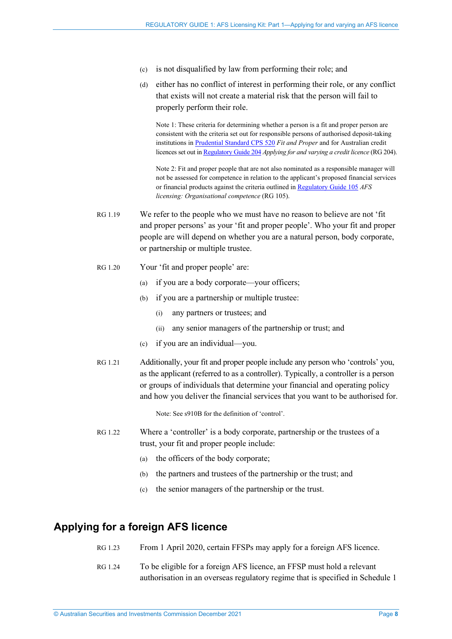- (c) is not disqualified by law from performing their role; and
- (d) either has no conflict of interest in performing their role, or any conflict that exists will not create a material risk that the person will fail to properly perform their role.

Note 1: These criteria for determining whether a person is a fit and proper person are consistent with the criteria set out for responsible persons of authorised deposit-taking institutions in [Prudential Standard CPS 520](https://www.legislation.gov.au/current/F2018L01390) *Fit and Proper* and for Australian credit licences set out i[n Regulatory Guide 204](https://asic.gov.au/regulatory-resources/find-a-document/regulatory-guides/rg-204-applying-for-and-varying-a-credit-licence/) *Applying for and varying a credit licence* (RG 204).

Note 2: Fit and proper people that are not also nominated as a responsible manager will not be assessed for competence in relation to the applicant's proposed financial services or financial products against the criteria outlined in [Regulatory Guide](https://asic.gov.au/regulatory-resources/find-a-document/regulatory-guides/rg-105-afs-licensing-organisational-competence/) 105 *AFS licensing: Organisational competence* (RG 105).

- RG 1.19 We refer to the people who we must have no reason to believe are not 'fit and proper persons' as your 'fit and proper people'. Who your fit and proper people are will depend on whether you are a natural person, body corporate, or partnership or multiple trustee.
- RG 1.20 Your 'fit and proper people' are:
	- (a) if you are a body corporate—your officers;
	- (b) if you are a partnership or multiple trustee:
		- (i) any partners or trustees; and
		- (ii) any senior managers of the partnership or trust; and
	- (c) if you are an individual—you.
- RG 1.21 Additionally, your fit and proper people include any person who 'controls' you, as the applicant (referred to as a controller). Typically, a controller is a person or groups of individuals that determine your financial and operating policy and how you deliver the financial services that you want to be authorised for.

Note: See s910B for the definition of 'control'.

- RG 1.22 Where a 'controller' is a body corporate, partnership or the trustees of a trust, your fit and proper people include:
	- (a) the officers of the body corporate;
	- (b) the partners and trustees of the partnership or the trust; and
	- (c) the senior managers of the partnership or the trust.

### <span id="page-7-1"></span><span id="page-7-0"></span>**Applying for a foreign AFS licence**

- RG 1.23 From 1 April 2020, certain FFSPs may apply for a foreign AFS licence.
- RG 1.24 To be eligible for a foreign AFS licence, an FFSP must hold a relevant authorisation in an overseas regulatory regime that is specified in Schedule 1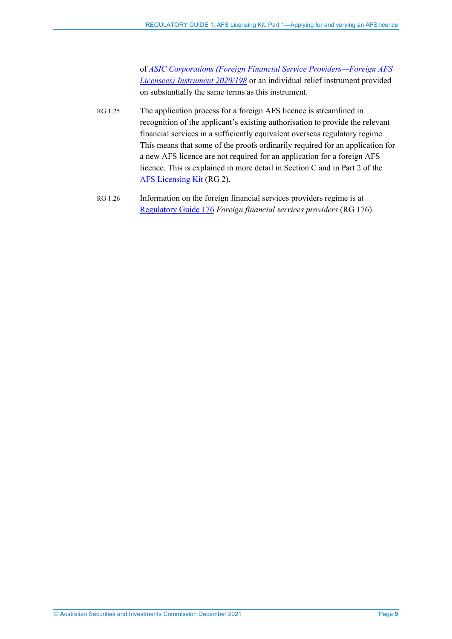of *[ASIC Corporations \(Foreign Financial Service Providers—Foreign AFS](https://www.legislation.gov.au/current/F2020L00237)  [Licensees\) Instrument 2020/198](https://www.legislation.gov.au/current/F2020L00237)* or an individual relief instrument provided on substantially the same terms as this instrument.

- RG 1.25 The application process for a foreign AFS licence is streamlined in recognition of the applicant's existing authorisation to provide the relevant financial services in a sufficiently equivalent overseas regulatory regime. This means that some of the proofs ordinarily required for an application for a new AFS licence are not required for an application for a foreign AFS licence. This is explained in more detail in Sectio[n C](#page-12-0) and in Part 2 of the [AFS Licensing Kit](https://asic.gov.au/for-finance-professionals/afs-licensees/applying-for-and-managing-an-afs-licence/afs-licensing-kit/) (RG 2).
- <span id="page-8-0"></span>RG 1.26 Information on the foreign financial services providers regime is at [Regulatory Guide 176](https://asic.gov.au/regulatory-resources/find-a-document/regulatory-guides/rg-176-foreign-financial-services-providers/) *Foreign financial services providers* (RG 176).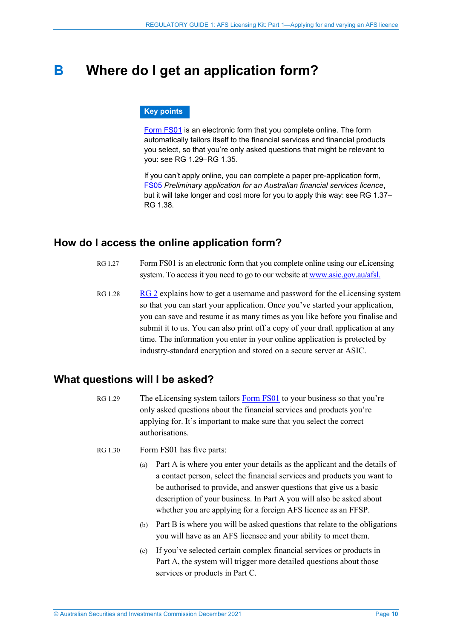## <span id="page-9-0"></span>**B Where do I get an application form?**

#### **Key points**

[Form FS01](https://asic.gov.au/regulatory-resources/forms/forms-folder/fs01-application-for-afs-licence/) is an electronic form that you complete online. The form automatically tailors itself to the financial services and financial products you select, so that you're only asked questions that might be relevant to you: see RG [1.29–](#page-9-3)RG [1.35.](#page-11-1)

If you can't apply online, you can complete a paper pre-application form, [FS05](https://asic.gov.au/regulatory-resources/forms/forms-folder/fs05-preliminary-application-for-an-australian-financial-services-licence/) *Preliminary application for an Australian financial services licence*, but it will take longer and cost more for you to apply this way: see RG [1.37–](#page-11-2) RG [1.38.](#page-11-3)

## <span id="page-9-1"></span>**How do I access the online application form?**

- RG 1.27 Form FS01 is an electronic form that you complete online using our eLicensing system. To access it you need to go to our website at www.asic.gov.au/afsl.
- RG 1.28 [RG 2](https://asic.gov.au/regulatory-resources/find-a-document/regulatory-guides/rg-2-afs-licensing-kit-part-2-preparing-your-afs-licence-application/) explains how to get a username and password for the eLicensing system so that you can start your application. Once you've started your application, you can save and resume it as many times as you like before you finalise and submit it to us. You can also print off a copy of your draft application at any time. The information you enter in your online application is protected by industry-standard encryption and stored on a secure server at ASIC.

## <span id="page-9-3"></span><span id="page-9-2"></span>**What questions will I be asked?**

- RG 1.29 The eLicensing system tailor[s Form FS01](https://asic.gov.au/regulatory-resources/forms/forms-folder/fs01-application-for-afs-licence/) to your business so that you're only asked questions about the financial services and products you're applying for. It's important to make sure that you select the correct authorisations.
- RG 1.30 Form FS01 has five parts:
	- (a) Part A is where you enter your details as the applicant and the details of a contact person, select the financial services and products you want to be authorised to provide, and answer questions that give us a basic description of your business. In Part A you will also be asked about whether you are applying for a foreign AFS licence as an FFSP.
	- (b) Part B is where you will be asked questions that relate to the obligations you will have as an AFS licensee and your ability to meet them.
	- (c) If you've selected certain complex financial services or products in Part A, the system will trigger more detailed questions about those services or products in Part C.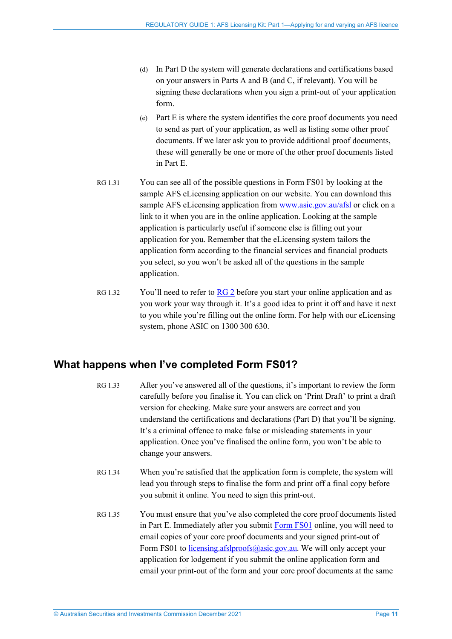- (d) In Part D the system will generate declarations and certifications based on your answers in Parts A and B (and C, if relevant). You will be signing these declarations when you sign a print-out of your application form.
- (e) Part E is where the system identifies the core proof documents you need to send as part of your application, as well as listing some other proof documents. If we later ask you to provide additional proof documents, these will generally be one or more of the other proof documents listed in Part E.
- RG 1.31 You can see all of the possible questions in Form FS01 by looking at the sample AFS eLicensing application on our website. You can download this sample AFS eLicensing application from [www.asic.gov.au/afsl](http://www.asic.gov.au/afsl) or click on a link to it when you are in the online application. Looking at the sample application is particularly useful if someone else is filling out your application for you. Remember that the eLicensing system tailors the application form according to the financial services and financial products you select, so you won't be asked all of the questions in the sample application.
- RG 1.32 You'll need to refer to [RG 2](https://asic.gov.au/regulatory-resources/find-a-document/regulatory-guides/rg-2-afs-licensing-kit-part-2-preparing-your-afs-licence-application/) before you start your online application and as you work your way through it. It's a good idea to print it off and have it next to you while you're filling out the online form. For help with our eLicensing system, phone ASIC on 1300 300 630.

## <span id="page-10-0"></span>**What happens when I've completed Form FS01?**

- RG 1.33 After you've answered all of the questions, it's important to review the form carefully before you finalise it. You can click on 'Print Draft' to print a draft version for checking. Make sure your answers are correct and you understand the certifications and declarations (Part D) that you'll be signing. It's a criminal offence to make false or misleading statements in your application. Once you've finalised the online form, you won't be able to change your answers.
- RG 1.34 When you're satisfied that the application form is complete, the system will lead you through steps to finalise the form and print off a final copy before you submit it online. You need to sign this print-out.
- RG 1.35 You must ensure that you've also completed the core proof documents listed in Part E. Immediately after you submit [Form FS01](https://asic.gov.au/regulatory-resources/forms/forms-folder/fs01-application-for-afs-licence/) online, you will need to email copies of your core proof documents and your signed print-out of Form FS01 to [licensing.afslproofs@asic.gov.au.](mailto:licensing.afslproofs@asic.gov.au) We will only accept your application for lodgement if you submit the online application form and email your print-out of the form and your core proof documents at the same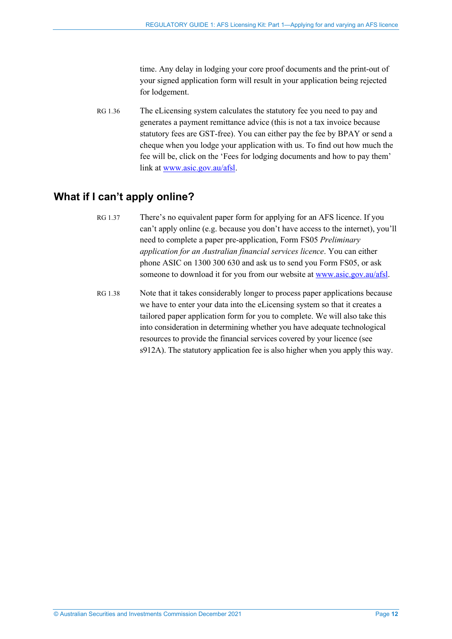<span id="page-11-1"></span>time. Any delay in lodging your core proof documents and the print-out of your signed application form will result in your application being rejected for lodgement.

RG 1.36 The eLicensing system calculates the statutory fee you need to pay and generates a payment remittance advice (this is not a tax invoice because statutory fees are GST-free). You can either pay the fee by BPAY or send a cheque when you lodge your application with us. To find out how much the fee will be, click on the 'Fees for lodging documents and how to pay them' link at [www.asic.gov.au/afsl.](http://www.asic.gov.au/afsl)

## <span id="page-11-2"></span><span id="page-11-0"></span>**What if I can't apply online?**

- RG 1.37 There's no equivalent paper form for applying for an AFS licence. If you can't apply online (e.g. because you don't have access to the internet), you'll need to complete a paper pre-application, Form FS05 *Preliminary application for an Australian financial services licence*. You can either phone ASIC on 1300 300 630 and ask us to send you Form FS05, or ask someone to download it for you from our website at [www.asic.gov.au/afsl.](http://www.asic.gov.au/afsl)
- <span id="page-11-3"></span>RG 1.38 Note that it takes considerably longer to process paper applications because we have to enter your data into the eLicensing system so that it creates a tailored paper application form for you to complete. We will also take this into consideration in determining whether you have adequate technological resources to provide the financial services covered by your licence (see s912A). The statutory application fee is also higher when you apply this way.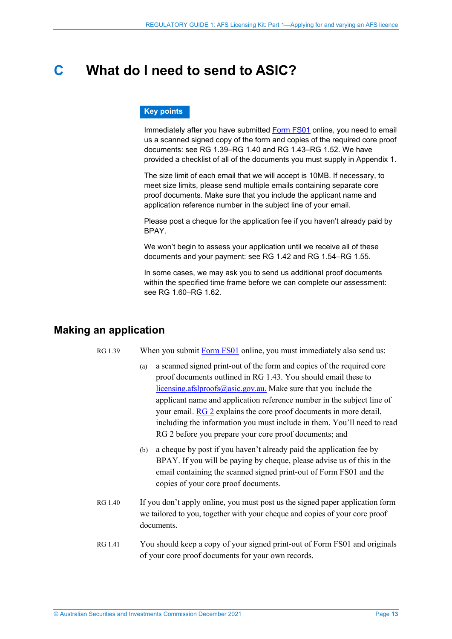## <span id="page-12-0"></span>**C What do I need to send to ASIC?**

#### **Key points**

Immediately after you have submitted [Form FS01](https://asic.gov.au/regulatory-resources/forms/forms-folder/fs01-application-for-afs-licence/) online, you need to email us a scanned signed copy of the form and copies of the required core proof documents: see RG [1.39–](#page-12-2)RG [1.40](#page-12-3) and RG [1.43–](#page-13-1)RG [1.52.](#page-15-0) We have provided a checklist of all of the documents you must supply in Appendix 1.

The size limit of each email that we will accept is 10MB. If necessary, to meet size limits, please send multiple emails containing separate core proof documents. Make sure that you include the applicant name and application reference number in the subject line of your email.

Please post a cheque for the application fee if you haven't already paid by **BPAY** 

We won't begin to assess your application until we receive all of these documents and your payment: see [RG 1.42](#page-13-2) and RG [1.54–](#page-16-2)RG [1.55.](#page-16-3)

In some cases, we may ask you to send us additional proof documents within the specified time frame before we can complete our assessment: see RG [1.60–](#page-17-2)RG [1.62.](#page-17-3)

## <span id="page-12-2"></span><span id="page-12-1"></span>**Making an application**

RG 1.39 When you submit [Form FS01](https://asic.gov.au/regulatory-resources/forms/forms-folder/fs01-application-for-afs-licence/) online, you must immediately also send us:

- (a) a scanned signed print-out of the form and copies of the required core proof documents outlined in [RG 1.43.](#page-13-1) You should email these to [licensing.afslproofs@asic.gov.au.](mailto:licensing.afslproofs@asic.gov.au) Make sure that you include the applicant name and application reference number in the subject line of your email. [RG 2](https://asic.gov.au/regulatory-resources/find-a-document/regulatory-guides/rg-2-afs-licensing-kit-part-2-preparing-your-afs-licence-application/) explains the core proof documents in more detail, including the information you must include in them. You'll need to read RG 2 before you prepare your core proof documents; and
- (b) a cheque by post if you haven't already paid the application fee by BPAY. If you will be paying by cheque, please advise us of this in the email containing the scanned signed print-out of Form FS01 and the copies of your core proof documents.
- <span id="page-12-3"></span>RG 1.40 If you don't apply online, you must post us the signed paper application form we tailored to you, together with your cheque and copies of your core proof documents.
- RG 1.41 You should keep a copy of your signed print-out of Form FS01 and originals of your core proof documents for your own records.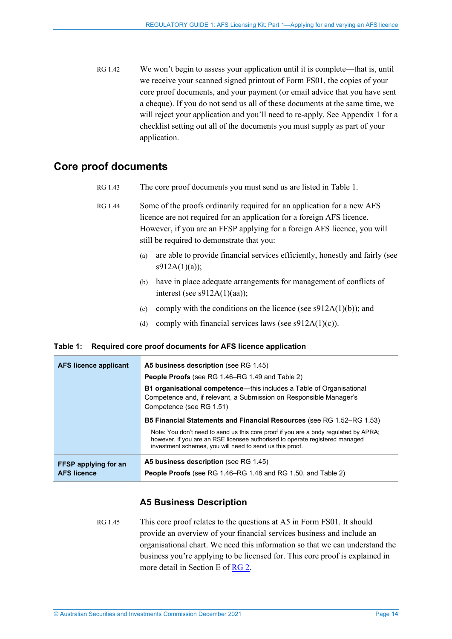<span id="page-13-2"></span>RG 1.42 We won't begin to assess your application until it is complete—that is, until we receive your scanned signed printout of Form FS01, the copies of your core proof documents, and your payment (or email advice that you have sent a cheque). If you do not send us all of these documents at the same time, we will reject your application and you'll need to re-apply. See Appendix 1 for a checklist setting out all of the documents you must supply as part of your application.

## <span id="page-13-1"></span><span id="page-13-0"></span>**Core proof documents**

- RG 1.43 The core proof documents you must send us are listed in [Table 1.](#page-13-3)
- RG 1.44 Some of the proofs ordinarily required for an application for a new AFS licence are not required for an application for a foreign AFS licence. However, if you are an FFSP applying for a foreign AFS licence, you will still be required to demonstrate that you:
	- (a) are able to provide financial services efficiently, honestly and fairly (see s912A(1)(a));
	- (b) have in place adequate arrangements for management of conflicts of interest (see s912A(1)(aa));
	- (c) comply with the conditions on the licence (see  $s912A(1)(b)$ ); and
	- (d) comply with financial services laws (see  $s912A(1)(c)$ ).

#### <span id="page-13-3"></span>**Table 1: Required core proof documents for AFS licence application**

| <b>AFS licence applicant</b> | A5 business description (see RG 1.45)<br><b>People Proofs</b> (see RG 1.46–RG 1.49 and Table 2)                                                                                                                                  |
|------------------------------|----------------------------------------------------------------------------------------------------------------------------------------------------------------------------------------------------------------------------------|
|                              | <b>B1 organisational competence—this includes a Table of Organisational</b><br>Competence and, if relevant, a Submission on Responsible Manager's<br>Competence (see RG 1.51)                                                    |
|                              | <b>B5 Financial Statements and Financial Resources</b> (see RG 1.52–RG 1.53)                                                                                                                                                     |
|                              | Note: You don't need to send us this core proof if you are a body regulated by APRA;<br>however, if you are an RSE licensee authorised to operate registered managed<br>investment schemes, you will need to send us this proof. |
| <b>FFSP</b> applying for an  | <b>A5 business description</b> (see RG 1.45)                                                                                                                                                                                     |
| <b>AFS licence</b>           | <b>People Proofs</b> (see RG 1.46–RG 1.48 and RG 1.50, and Table 2)                                                                                                                                                              |

### **A5 Business Description**

<span id="page-13-4"></span>RG 1.45 This core proof relates to the questions at A5 in Form FS01. It should provide an overview of your financial services business and include an organisational chart. We need this information so that we can understand the business you're applying to be licensed for. This core proof is explained in more detail in Section E of [RG 2.](https://asic.gov.au/regulatory-resources/find-a-document/regulatory-guides/rg-2-afs-licensing-kit-part-2-preparing-your-afs-licence-application/)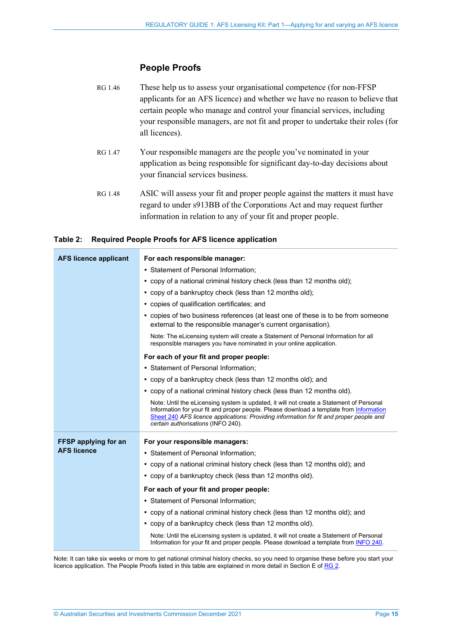#### **People Proofs**

### <span id="page-14-0"></span>RG 1.46 These help us to assess your organisational competence (for non-FFSP applicants for an AFS licence) and whether we have no reason to believe that certain people who manage and control your financial services, including your responsible managers, are not fit and proper to undertake their roles (for all licences).

- RG 1.47 Your responsible managers are the people you've nominated in your application as being responsible for significant day-to-day decisions about your financial services business.
- <span id="page-14-2"></span>RG 1.48 ASIC will assess your fit and proper people against the matters it must have regard to under s913BB of the Corporations Act and may request further information in relation to any of your fit and proper people.

#### <span id="page-14-1"></span>**Table 2: Required People Proofs for AFS licence application**

| <b>AFS licence applicant</b> | For each responsible manager:                                                                                                                                                                                                                                                                                        |
|------------------------------|----------------------------------------------------------------------------------------------------------------------------------------------------------------------------------------------------------------------------------------------------------------------------------------------------------------------|
|                              | • Statement of Personal Information;                                                                                                                                                                                                                                                                                 |
|                              | • copy of a national criminal history check (less than 12 months old);                                                                                                                                                                                                                                               |
|                              | • copy of a bankruptcy check (less than 12 months old);                                                                                                                                                                                                                                                              |
|                              | • copies of qualification certificates; and                                                                                                                                                                                                                                                                          |
|                              | • copies of two business references (at least one of these is to be from someone<br>external to the responsible manager's current organisation).                                                                                                                                                                     |
|                              | Note: The eLicensing system will create a Statement of Personal Information for all<br>responsible managers you have nominated in your online application.                                                                                                                                                           |
|                              | For each of your fit and proper people:                                                                                                                                                                                                                                                                              |
|                              | • Statement of Personal Information;                                                                                                                                                                                                                                                                                 |
|                              | • copy of a bankruptcy check (less than 12 months old); and                                                                                                                                                                                                                                                          |
|                              | • copy of a national criminal history check (less than 12 months old).                                                                                                                                                                                                                                               |
|                              | Note: Until the eLicensing system is updated, it will not create a Statement of Personal<br>Information for your fit and proper people. Please download a template from Information<br>Sheet 240 AFS licence applications: Providing information for fit and proper people and<br>certain authorisations (INFO 240). |
| FFSP applying for an         | For your responsible managers:                                                                                                                                                                                                                                                                                       |
| <b>AFS licence</b>           | • Statement of Personal Information;                                                                                                                                                                                                                                                                                 |
|                              | • copy of a national criminal history check (less than 12 months old); and                                                                                                                                                                                                                                           |
|                              | • copy of a bankruptcy check (less than 12 months old).                                                                                                                                                                                                                                                              |
|                              | For each of your fit and proper people:                                                                                                                                                                                                                                                                              |
|                              | • Statement of Personal Information;                                                                                                                                                                                                                                                                                 |
|                              | • copy of a national criminal history check (less than 12 months old); and                                                                                                                                                                                                                                           |
|                              | • copy of a bankruptcy check (less than 12 months old).                                                                                                                                                                                                                                                              |
|                              | Note: Until the eLicensing system is updated, it will not create a Statement of Personal<br>Information for your fit and proper people. Please download a template from INFO 240.                                                                                                                                    |

Note: It can take six weeks or more to get national criminal history checks, so you need to organise these before you start your licence application. The People Proofs listed in this table are explained in more detail in Section E of [RG 2.](https://asic.gov.au/regulatory-resources/find-a-document/regulatory-guides/rg-2-afs-licensing-kit-part-2-preparing-your-afs-licence-application/)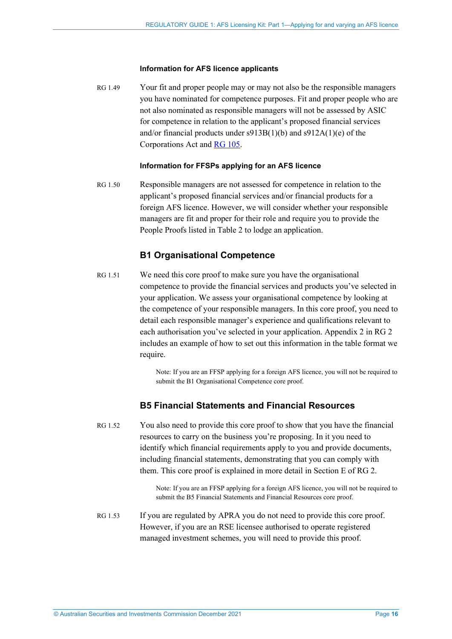#### **Information for AFS licence applicants**

<span id="page-15-1"></span>RG 1.49 Your fit and proper people may or may not also be the responsible managers you have nominated for competence purposes. Fit and proper people who are not also nominated as responsible managers will not be assessed by ASIC for competence in relation to the applicant's proposed financial services and/or financial products under s913B(1)(b) and s912A(1)(e) of the Corporations Act and RG [105.](https://asic.gov.au/regulatory-resources/find-a-document/regulatory-guides/rg-105-afs-licensing-organisational-competence/)

#### **Information for FFSPs applying for an AFS licence**

<span id="page-15-4"></span>RG 1.50 Responsible managers are not assessed for competence in relation to the applicant's proposed financial services and/or financial products for a foreign AFS licence. However, we will consider whether your responsible managers are fit and proper for their role and require you to provide the People Proofs listed in [Table 2](#page-14-1) to lodge an application.

#### **B1 Organisational Competence**

<span id="page-15-2"></span>RG 1.51 We need this core proof to make sure you have the organisational competence to provide the financial services and products you've selected in your application. We assess your organisational competence by looking at the competence of your responsible managers. In this core proof, you need to detail each responsible manager's experience and qualifications relevant to each authorisation you've selected in your application. Appendix 2 in RG 2 includes an example of how to set out this information in the table format we require.

> Note: If you are an FFSP applying for a foreign AFS licence, you will not be required to submit the B1 Organisational Competence core proof.

#### **B5 Financial Statements and Financial Resources**

<span id="page-15-0"></span>RG 1.52 You also need to provide this core proof to show that you have the financial resources to carry on the business you're proposing. In it you need to identify which financial requirements apply to you and provide documents, including financial statements, demonstrating that you can comply with them. This core proof is explained in more detail in Section E of RG 2.

> Note: If you are an FFSP applying for a foreign AFS licence, you will not be required to submit the B5 Financial Statements and Financial Resources core proof.

<span id="page-15-3"></span>RG 1.53 If you are regulated by APRA you do not need to provide this core proof. However, if you are an RSE licensee authorised to operate registered managed investment schemes, you will need to provide this proof.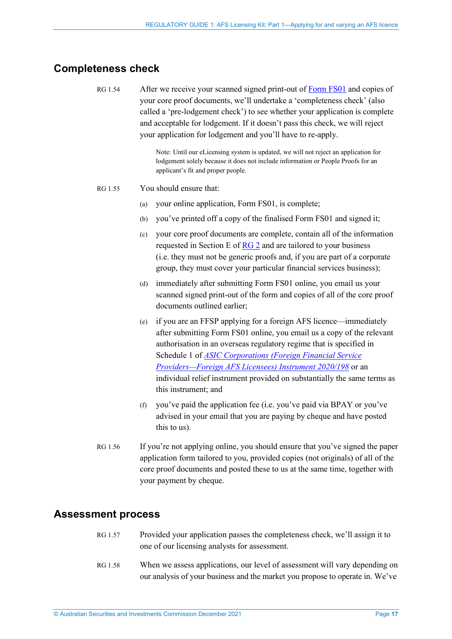## <span id="page-16-2"></span><span id="page-16-0"></span>**Completeness check**

RG 1.54 After we receive your scanned signed print-out of [Form](https://asic.gov.au/regulatory-resources/forms/forms-folder/fs01-application-for-afs-licence/) FS01 and copies of your core proof documents, we'll undertake a 'completeness check' (also called a 'pre-lodgement check') to see whether your application is complete and acceptable for lodgement. If it doesn't pass this check, we will reject your application for lodgement and you'll have to re-apply.

> Note: Until our eLicensing system is updated, we will not reject an application for lodgement solely because it does not include information or People Proofs for an applicant's fit and proper people.

#### <span id="page-16-3"></span>RG 1.55 You should ensure that:

- (a) your online application, Form FS01, is complete;
- (b) you've printed off a copy of the finalised Form FS01 and signed it;
- (c) your core proof documents are complete, contain all of the information requested in Section E of [RG 2](https://asic.gov.au/regulatory-resources/find-a-document/regulatory-guides/rg-2-afs-licensing-kit-part-2-preparing-your-afs-licence-application/) and are tailored to your business (i.e. they must not be generic proofs and, if you are part of a corporate group, they must cover your particular financial services business);
- (d) immediately after submitting Form FS01 online, you email us your scanned signed print-out of the form and copies of all of the core proof documents outlined earlier;
- (e) if you are an FFSP applying for a foreign AFS licence—immediately after submitting Form FS01 online, you email us a copy of the relevant authorisation in an overseas regulatory regime that is specified in Schedule 1 of *[ASIC Corporations \(Foreign Financial Service](https://www.legislation.gov.au/current/F2020L00237)  [Providers—Foreign AFS Licensees\) Instrument 2020/198](https://www.legislation.gov.au/current/F2020L00237)* or an individual relief instrument provided on substantially the same terms as this instrument; and
- (f) you've paid the application fee (i.e. you've paid via BPAY or you've advised in your email that you are paying by cheque and have posted this to us).
- RG 1.56 If you're not applying online, you should ensure that you've signed the paper application form tailored to you, provided copies (not originals) of all of the core proof documents and posted these to us at the same time, together with your payment by cheque.

### <span id="page-16-1"></span>**Assessment process**

- RG 1.57 Provided your application passes the completeness check, we'll assign it to one of our licensing analysts for assessment.
- RG 1.58 When we assess applications, our level of assessment will vary depending on our analysis of your business and the market you propose to operate in. We've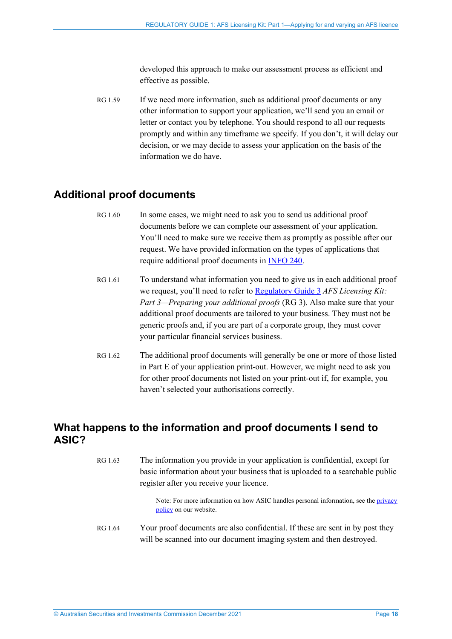developed this approach to make our assessment process as efficient and effective as possible.

RG 1.59 If we need more information, such as additional proof documents or any other information to support your application, we'll send you an email or letter or contact you by telephone. You should respond to all our requests promptly and within any timeframe we specify. If you don't, it will delay our decision, or we may decide to assess your application on the basis of the information we do have.

## <span id="page-17-2"></span><span id="page-17-0"></span>**Additional proof documents**

- RG 1.60 In some cases, we might need to ask you to send us additional proof documents before we can complete our assessment of your application. You'll need to make sure we receive them as promptly as possible after our request. We have provided information on the types of applications that require additional proof documents in [INFO 240.](https://asic.gov.au/for-finance-professionals/afs-licensees/applying-for-and-managing-an-afs-licence/afs-licensing-requirements-for-certain-applicants-to-provide-further-information/)
- RG 1.61 To understand what information you need to give us in each additional proof we request, you'll need to refer to [Regulatory Guide 3](http://asic.gov.au/regulatory-resources/find-a-document/regulatory-guides/rg-3-afs-licensing-kit-part-3-preparing-your-additional-proofs/) *AFS Licensing Kit: Part 3—Preparing your additional proofs* (RG 3). Also make sure that your additional proof documents are tailored to your business. They must not be generic proofs and, if you are part of a corporate group, they must cover your particular financial services business.
- <span id="page-17-3"></span>RG 1.62 The additional proof documents will generally be one or more of those listed in Part E of your application print-out. However, we might need to ask you for other proof documents not listed on your print-out if, for example, you haven't selected your authorisations correctly.

## <span id="page-17-1"></span>**What happens to the information and proof documents I send to ASIC?**

RG 1.63 The information you provide in your application is confidential, except for basic information about your business that is uploaded to a searchable public register after you receive your licence.

> Note: For more information on how ASIC handles personal information, see th[e privacy](https://asic.gov.au/about-asic/dealing-with-asic/privacy/)  [policy](https://asic.gov.au/about-asic/dealing-with-asic/privacy/) on our website.

RG 1.64 Your proof documents are also confidential. If these are sent in by post they will be scanned into our document imaging system and then destroyed.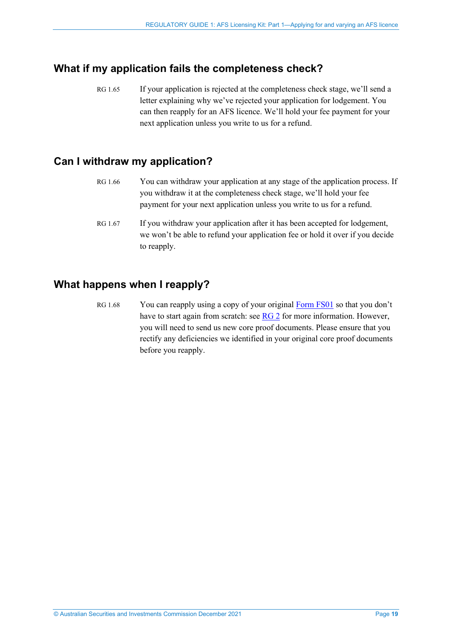## <span id="page-18-0"></span>**What if my application fails the completeness check?**

RG 1.65 If your application is rejected at the completeness check stage, we'll send a letter explaining why we've rejected your application for lodgement. You can then reapply for an AFS licence. We'll hold your fee payment for your next application unless you write to us for a refund.

## <span id="page-18-1"></span>**Can I withdraw my application?**

- RG 1.66 You can withdraw your application at any stage of the application process. If you withdraw it at the completeness check stage, we'll hold your fee payment for your next application unless you write to us for a refund.
- RG 1.67 If you withdraw your application after it has been accepted for lodgement, we won't be able to refund your application fee or hold it over if you decide to reapply.

### <span id="page-18-2"></span>**What happens when I reapply?**

RG 1.68 You can reapply using a copy of your original [Form FS01](https://asic.gov.au/regulatory-resources/forms/forms-folder/fs01-application-for-afs-licence/) so that you don't have to start again from scratch: see [RG 2](https://asic.gov.au/regulatory-resources/find-a-document/regulatory-guides/rg-2-afs-licensing-kit-part-2-preparing-your-afs-licence-application/) for more information. However, you will need to send us new core proof documents. Please ensure that you rectify any deficiencies we identified in your original core proof documents before you reapply.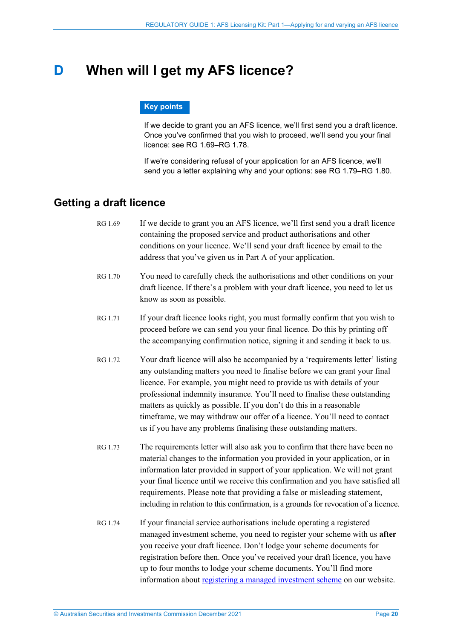## <span id="page-19-0"></span>**D When will I get my AFS licence?**

#### **Key points**

If we decide to grant you an AFS licence, we'll first send you a draft licence. Once you've confirmed that you wish to proceed, we'll send you your final licence: see RG [1.69–](#page-19-2)RG [1.78.](#page-20-2)

If we're considering refusal of your application for an AFS licence, we'll send you a letter explaining why and your options: see RG [1.79–](#page-20-3)RG [1.80.](#page-20-4)

## <span id="page-19-2"></span><span id="page-19-1"></span>**Getting a draft licence**

- RG 1.69 If we decide to grant you an AFS licence, we'll first send you a draft licence containing the proposed service and product authorisations and other conditions on your licence. We'll send your draft licence by email to the address that you've given us in Part A of your application.
- RG 1.70 You need to carefully check the authorisations and other conditions on your draft licence. If there's a problem with your draft licence, you need to let us know as soon as possible.
- RG 1.71 If your draft licence looks right, you must formally confirm that you wish to proceed before we can send you your final licence. Do this by printing off the accompanying confirmation notice, signing it and sending it back to us.
- RG 1.72 Your draft licence will also be accompanied by a 'requirements letter' listing any outstanding matters you need to finalise before we can grant your final licence. For example, you might need to provide us with details of your professional indemnity insurance. You'll need to finalise these outstanding matters as quickly as possible. If you don't do this in a reasonable timeframe, we may withdraw our offer of a licence. You'll need to contact us if you have any problems finalising these outstanding matters.
- RG 1.73 The requirements letter will also ask you to confirm that there have been no material changes to the information you provided in your application, or in information later provided in support of your application. We will not grant your final licence until we receive this confirmation and you have satisfied all requirements. Please note that providing a false or misleading statement, including in relation to this confirmation, is a grounds for revocation of a licence.
- RG 1.74 If your financial service authorisations include operating a registered managed investment scheme, you need to register your scheme with us **after** you receive your draft licence. Don't lodge your scheme documents for registration before then. Once you've received your draft licence, you have up to four months to lodge your scheme documents. You'll find more information about [registering a managed investment scheme](https://asic.gov.au/for-finance-professionals/fund-operators/how-to-register-a-managed-investment-scheme/) on our website.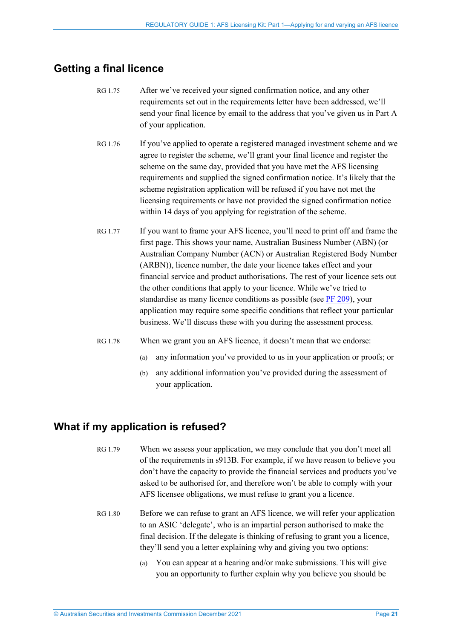## <span id="page-20-0"></span>**Getting a final licence**

- RG 1.75 After we've received your signed confirmation notice, and any other requirements set out in the requirements letter have been addressed, we'll send your final licence by email to the address that you've given us in Part A of your application.
- RG 1.76 If you've applied to operate a registered managed investment scheme and we agree to register the scheme, we'll grant your final licence and register the scheme on the same day, provided that you have met the AFS licensing requirements and supplied the signed confirmation notice. It's likely that the scheme registration application will be refused if you have not met the licensing requirements or have not provided the signed confirmation notice within 14 days of you applying for registration of the scheme.
- RG 1.77 If you want to frame your AFS licence, you'll need to print off and frame the first page. This shows your name, Australian Business Number (ABN) (or Australian Company Number (ACN) or Australian Registered Body Number (ARBN)), licence number, the date your licence takes effect and your financial service and product authorisations. The rest of your licence sets out the other conditions that apply to your licence. While we've tried to standardise as many licence conditions as possible (see [PF 209\)](https://asic.gov.au/for-finance-professionals/afs-licensees/applying-for-and-managing-an-afs-licence/australian-financial-services-licence-conditions-pro-forma-209/), your application may require some specific conditions that reflect your particular business. We'll discuss these with you during the assessment process.
- <span id="page-20-2"></span>RG 1.78 When we grant you an AFS licence, it doesn't mean that we endorse:
	- (a) any information you've provided to us in your application or proofs; or
	- (b) any additional information you've provided during the assessment of your application.

## <span id="page-20-3"></span><span id="page-20-1"></span>**What if my application is refused?**

- RG 1.79 When we assess your application, we may conclude that you don't meet all of the requirements in s913B. For example, if we have reason to believe you don't have the capacity to provide the financial services and products you've asked to be authorised for, and therefore won't be able to comply with your AFS licensee obligations, we must refuse to grant you a licence.
- <span id="page-20-4"></span>RG 1.80 Before we can refuse to grant an AFS licence, we will refer your application to an ASIC 'delegate', who is an impartial person authorised to make the final decision. If the delegate is thinking of refusing to grant you a licence, they'll send you a letter explaining why and giving you two options:
	- (a) You can appear at a hearing and/or make submissions. This will give you an opportunity to further explain why you believe you should be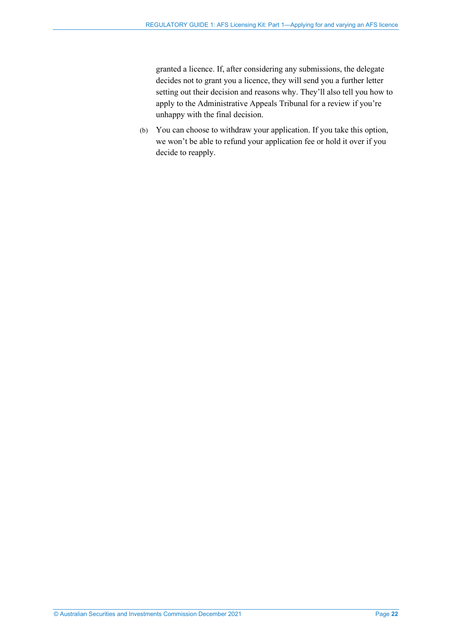granted a licence. If, after considering any submissions, the delegate decides not to grant you a licence, they will send you a further letter setting out their decision and reasons why. They'll also tell you how to apply to the Administrative Appeals Tribunal for a review if you're unhappy with the final decision.

(b) You can choose to withdraw your application. If you take this option, we won't be able to refund your application fee or hold it over if you decide to reapply.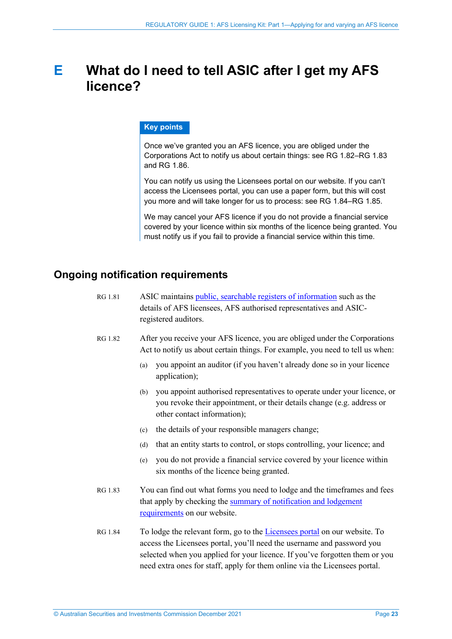## <span id="page-22-0"></span>**E What do I need to tell ASIC after I get my AFS licence?**

#### **Key points**

Once we've granted you an AFS licence, you are obliged under the Corporations Act to notify us about certain things: see RG [1.82–](#page-22-2)RG [1.83](#page-22-3) and RG [1.86.](#page-23-1)

You can notify us using the Licensees portal on our website. If you can't access the Licensees portal, you can use a paper form, but this will cost you more and will take longer for us to process: see RG [1.84–](#page-22-4)RG [1.85.](#page-23-2)

We may cancel your AFS licence if you do not provide a financial service covered by your licence within six months of the licence being granted. You must notify us if you fail to provide a financial service within this time.

### <span id="page-22-1"></span>**Ongoing notification requirements**

| RG 1.81 | ASIC maintains public, searchable registers of information such as the |
|---------|------------------------------------------------------------------------|
|         | details of AFS licensees, AFS authorised representatives and ASIC-     |
|         | registered auditors.                                                   |

- <span id="page-22-2"></span>RG 1.82 After you receive your AFS licence, you are obliged under the Corporations Act to notify us about certain things. For example, you need to tell us when:
	- (a) you appoint an auditor (if you haven't already done so in your licence application);
	- (b) you appoint authorised representatives to operate under your licence, or you revoke their appointment, or their details change (e.g. address or other contact information);
	- (c) the details of your responsible managers change;
	- (d) that an entity starts to control, or stops controlling, your licence; and
	- (e) you do not provide a financial service covered by your licence within six months of the licence being granted.
- <span id="page-22-3"></span>RG 1.83 You can find out what forms you need to lodge and the timeframes and fees that apply by checking the [summary of notification and lodgement](http://asic.gov.au/for-finance-professionals/afs-licensees/changing-details-and-lodging-afs-forms/lodgement-requirements-for-afs-licensees/)  [requirements](http://asic.gov.au/for-finance-professionals/afs-licensees/changing-details-and-lodging-afs-forms/lodgement-requirements-for-afs-licensees/) on our website.
- <span id="page-22-4"></span>RG 1.84 To lodge the relevant form, go to the [Licensees portal](http://www.asic.gov.au/licensees) on our website. To access the Licensees portal, you'll need the username and password you selected when you applied for your licence. If you've forgotten them or you need extra ones for staff, apply for them online via the Licensees portal.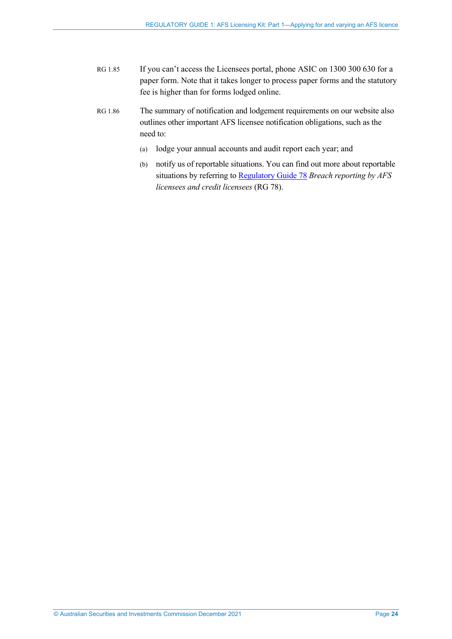- <span id="page-23-2"></span>RG 1.85 If you can't access the Licensees portal, phone ASIC on 1300 300 630 for a paper form. Note that it takes longer to process paper forms and the statutory fee is higher than for forms lodged online.
- <span id="page-23-1"></span><span id="page-23-0"></span>RG 1.86 The summary of notification and lodgement requirements on our website also outlines other important AFS licensee notification obligations, such as the need to:
	- (a) lodge your annual accounts and audit report each year; and
	- (b) notify us of reportable situations. You can find out more about reportable situations by referring to [Regulatory Guide 78](https://asic.gov.au/regulatory-resources/find-a-document/regulatory-guides/rg-78-breach-reporting-by-afs-licensees-and-credit-licensees/) *Breach reporting by AFS licensees and credit licensees* (RG 78).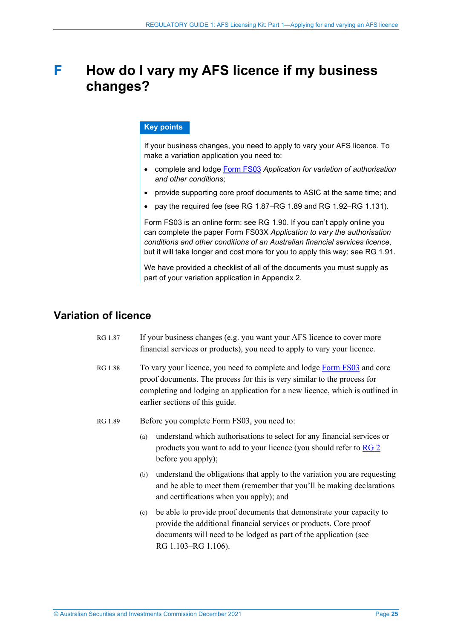## <span id="page-24-0"></span>**F How do I vary my AFS licence if my business changes?**

#### **Key points**

If your business changes, you need to apply to vary your AFS licence. To make a variation application you need to:

- complete and lodge [Form FS03](https://asic.gov.au/regulatory-resources/forms/forms-folder/fs03-application-for-variation-of-authorisation-and-other-conditions/) *Application for variation of authorisation and other conditions*;
- provide supporting core proof documents to ASIC at the same time; and
- pay the required fee (see RG [1.87–](#page-24-2)RG [1.89](#page-24-3) and RG [1.92–](#page-25-4)RG [1.131\)](#page-31-1).

Form FS03 is an online form: see RG [1.90.](#page-25-5) If you can't apply online you can complete the paper Form FS03X *Application to vary the authorisation conditions and other conditions of an Australian financial services licence*, but it will take longer and cost more for you to apply this way: see RG [1.91.](#page-25-6)

We have provided a checklist of all of the documents you must supply as part of your variation application in Appendix 2.

## <span id="page-24-2"></span><span id="page-24-1"></span>**Variation of licence**

- RG 1.87 If your business changes (e.g. you want your AFS licence to cover more financial services or products), you need to apply to vary your licence.
- RG 1.88 To vary your licence, you need to complete and lodge [Form FS03](https://asic.gov.au/regulatory-resources/forms/forms-folder/fs03-application-for-variation-of-authorisation-and-other-conditions/) and core proof documents. The process for this is very similar to the process for completing and lodging an application for a new licence, which is outlined in earlier sections of this guide.
- <span id="page-24-3"></span>RG 1.89 Before you complete Form FS03, you need to:
	- (a) understand which authorisations to select for any financial services or products you want to add to your licence (you should refer to [RG 2](https://asic.gov.au/regulatory-resources/find-a-document/regulatory-guides/rg-2-afs-licensing-kit-part-2-preparing-your-afs-licence-application/) before you apply);
	- (b) understand the obligations that apply to the variation you are requesting and be able to meet them (remember that you'll be making declarations and certifications when you apply); and
	- (c) be able to provide proof documents that demonstrate your capacity to provide the additional financial services or products. Core proof documents will need to be lodged as part of the application (see [RG 1.103–](#page-27-0)[RG 1.106\)](#page-27-1).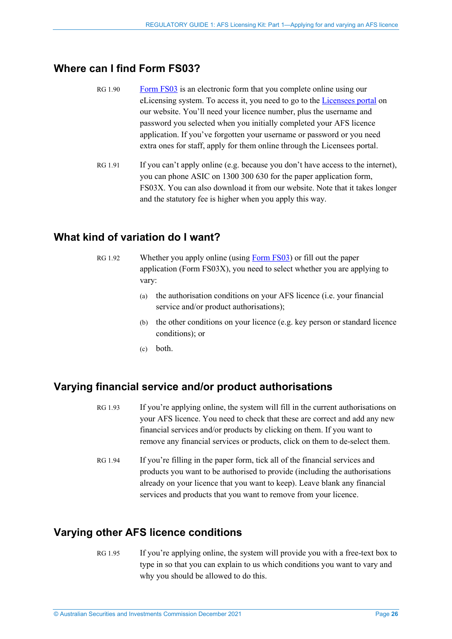## <span id="page-25-5"></span><span id="page-25-0"></span>**Where can I find Form FS03?**

- RG 1.90 [Form FS03](https://asic.gov.au/regulatory-resources/forms/forms-folder/fs03-application-for-variation-of-authorisation-and-other-conditions/) is an electronic form that you complete online using our eLicensing system. To access it, you need to go to the [Licensees portal](http://www.asic.gov.au/licensees) on our website. You'll need your licence number, plus the username and password you selected when you initially completed your AFS licence application. If you've forgotten your username or password or you need extra ones for staff, apply for them online through the Licensees portal.
- <span id="page-25-6"></span>RG 1.91 If you can't apply online (e.g. because you don't have access to the internet), you can phone ASIC on 1300 300 630 for the paper application form, FS03X. You can also download it from our website. Note that it takes longer and the statutory fee is higher when you apply this way.

### <span id="page-25-4"></span><span id="page-25-1"></span>**What kind of variation do I want?**

- RG 1.92 Whether you apply online (using [Form FS03\)](https://asic.gov.au/regulatory-resources/forms/forms-folder/fs03-application-for-variation-of-authorisation-and-other-conditions/) or fill out the paper application (Form FS03X), you need to select whether you are applying to vary:
	- (a) the authorisation conditions on your AFS licence (i.e. your financial service and/or product authorisations);
	- (b) the other conditions on your licence (e.g. key person or standard licence conditions); or
	- (c) both.

### <span id="page-25-2"></span>**Varying financial service and/or product authorisations**

- RG 1.93 If you're applying online, the system will fill in the current authorisations on your AFS licence. You need to check that these are correct and add any new financial services and/or products by clicking on them. If you want to remove any financial services or products, click on them to de-select them.
- RG 1.94 If you're filling in the paper form, tick all of the financial services and products you want to be authorised to provide (including the authorisations already on your licence that you want to keep). Leave blank any financial services and products that you want to remove from your licence.

## <span id="page-25-3"></span>**Varying other AFS licence conditions**

RG 1.95 If you're applying online, the system will provide you with a free-text box to type in so that you can explain to us which conditions you want to vary and why you should be allowed to do this.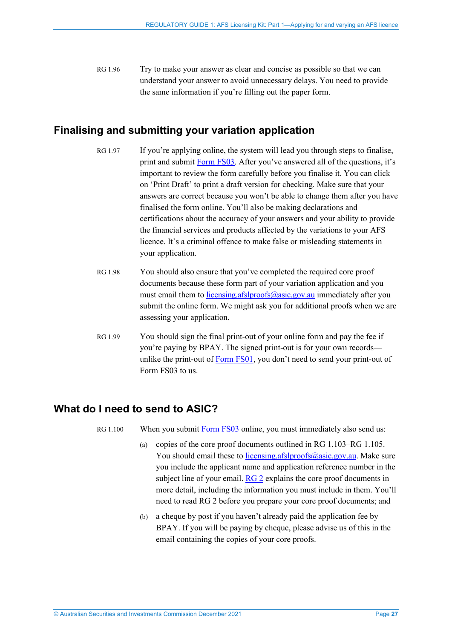RG 1.96 Try to make your answer as clear and concise as possible so that we can understand your answer to avoid unnecessary delays. You need to provide the same information if you're filling out the paper form.

## <span id="page-26-0"></span>**Finalising and submitting your variation application**

- RG 1.97 If you're applying online, the system will lead you through steps to finalise, print and submit [Form FS03.](https://asic.gov.au/regulatory-resources/forms/forms-folder/fs03-application-for-variation-of-authorisation-and-other-conditions/) After you've answered all of the questions, it's important to review the form carefully before you finalise it. You can click on 'Print Draft' to print a draft version for checking. Make sure that your answers are correct because you won't be able to change them after you have finalised the form online. You'll also be making declarations and certifications about the accuracy of your answers and your ability to provide the financial services and products affected by the variations to your AFS licence. It's a criminal offence to make false or misleading statements in your application.
- RG 1.98 You should also ensure that you've completed the required core proof documents because these form part of your variation application and you must email them to *licensing.afslproofs@asic.gov.au* immediately after you submit the online form. We might ask you for additional proofs when we are assessing your application.
- RG 1.99 You should sign the final print-out of your online form and pay the fee if you're paying by BPAY. The signed print-out is for your own records— unlike the print-out of [Form FS01,](https://asic.gov.au/regulatory-resources/forms/forms-folder/fs01-application-for-afs-licence/) you don't need to send your print-out of Form FS03 to us.

### <span id="page-26-1"></span>**What do I need to send to ASIC?**

RG 1.100 When you submit [Form FS03](https://asic.gov.au/regulatory-resources/forms/forms-folder/fs03-application-for-variation-of-authorisation-and-other-conditions/) online, you must immediately also send us:

- (a) copies of the core proof documents outlined in [RG 1.103](#page-27-0)[–RG 1.105.](#page-27-2) You should email these to [licensing.afslproofs@asic.gov.au.](mailto:licensing.afslproofs@asic.gov.au) Make sure you include the applicant name and application reference number in the subject line of your email. [RG 2](https://asic.gov.au/regulatory-resources/find-a-document/regulatory-guides/rg-2-afs-licensing-kit-part-2-preparing-your-afs-licence-application/) explains the core proof documents in more detail, including the information you must include in them. You'll need to read RG 2 before you prepare your core proof documents; and
- (b) a cheque by post if you haven't already paid the application fee by BPAY. If you will be paying by cheque, please advise us of this in the email containing the copies of your core proofs.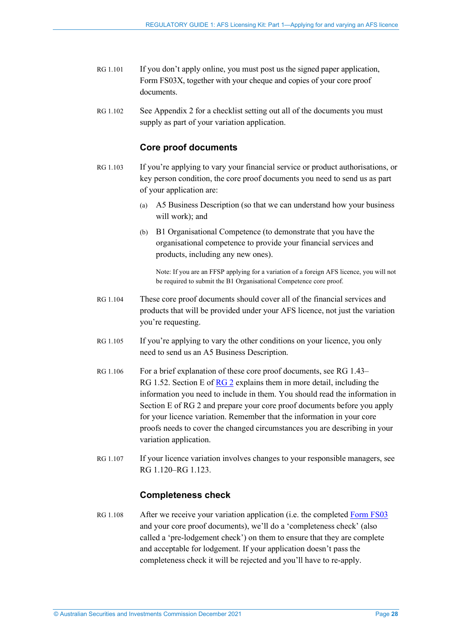- RG 1.101 If you don't apply online, you must post us the signed paper application, Form FS03X, together with your cheque and copies of your core proof documents.
- RG 1.102 See Appendix 2 for a checklist setting out all of the documents you must supply as part of your variation application.

### **Core proof documents**

- <span id="page-27-0"></span>RG 1.103 If you're applying to vary your financial service or product authorisations, or key person condition, the core proof documents you need to send us as part of your application are:
	- (a) A5 Business Description (so that we can understand how your business will work); and
	- (b) B1 Organisational Competence (to demonstrate that you have the organisational competence to provide your financial services and products, including any new ones).

Note: If you are an FFSP applying for a variation of a foreign AFS licence, you will not be required to submit the B1 Organisational Competence core proof.

- RG 1.104 These core proof documents should cover all of the financial services and products that will be provided under your AFS licence, not just the variation you're requesting.
- <span id="page-27-2"></span>RG 1.105 If you're applying to vary the other conditions on your licence, you only need to send us an A5 Business Description.
- <span id="page-27-1"></span>RG 1.106 For a brief explanation of these core proof documents, see [RG 1.43–](#page-13-1) [RG 1.52.](#page-15-0) Section E of [RG 2](https://asic.gov.au/regulatory-resources/find-a-document/regulatory-guides/rg-2-afs-licensing-kit-part-2-preparing-your-afs-licence-application/) explains them in more detail, including the information you need to include in them. You should read the information in Section E of RG 2 and prepare your core proof documents before you apply for your licence variation. Remember that the information in your core proofs needs to cover the changed circumstances you are describing in your variation application.
- RG 1.107 If your licence variation involves changes to your responsible managers, see [RG 1.120](#page-29-1)[–RG 1.123.](#page-30-2)

#### **Completeness check**

RG 1.108 After we receive your variation application (i.e. the completed [Form FS03](https://asic.gov.au/regulatory-resources/forms/forms-folder/fs03-application-for-variation-of-authorisation-and-other-conditions/) and your core proof documents), we'll do a 'completeness check' (also called a 'pre-lodgement check') on them to ensure that they are complete and acceptable for lodgement. If your application doesn't pass the completeness check it will be rejected and you'll have to re-apply.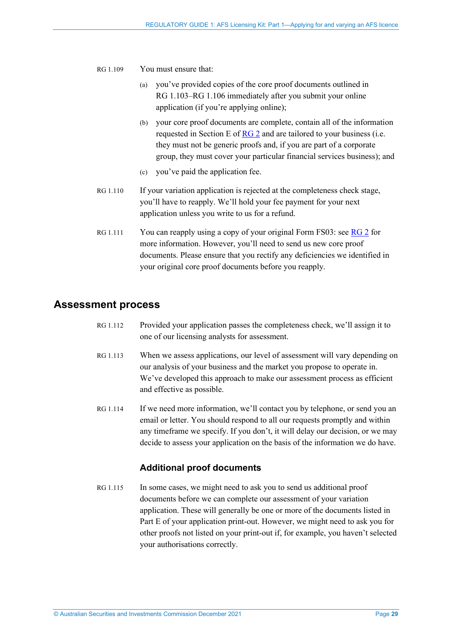- RG 1.109 You must ensure that:
	- (a) you've provided copies of the core proof documents outlined in RG [1.103–](#page-27-0)RG [1.106](#page-27-1) immediately after you submit your online application (if you're applying online);
	- (b) your core proof documents are complete, contain all of the information requested in Section E of [RG 2](https://asic.gov.au/regulatory-resources/find-a-document/regulatory-guides/rg-2-afs-licensing-kit-part-2-preparing-your-afs-licence-application/) and are tailored to your business (i.e. they must not be generic proofs and, if you are part of a corporate group, they must cover your particular financial services business); and
	- (c) you've paid the application fee.
- RG 1.110 If your variation application is rejected at the completeness check stage, you'll have to reapply. We'll hold your fee payment for your next application unless you write to us for a refund.
- RG 1.111 You can reapply using a copy of your original Form FS03: see  $\overline{RG}$  2 for more information. However, you'll need to send us new core proof documents. Please ensure that you rectify any deficiencies we identified in your original core proof documents before you reapply.

## <span id="page-28-0"></span>**Assessment process**

- RG 1.112 Provided your application passes the completeness check, we'll assign it to one of our licensing analysts for assessment.
- RG 1.113 When we assess applications, our level of assessment will vary depending on our analysis of your business and the market you propose to operate in. We've developed this approach to make our assessment process as efficient and effective as possible.
- RG 1.114 If we need more information, we'll contact you by telephone, or send you an email or letter. You should respond to all our requests promptly and within any timeframe we specify. If you don't, it will delay our decision, or we may decide to assess your application on the basis of the information we do have.

### **Additional proof documents**

RG 1.115 In some cases, we might need to ask you to send us additional proof documents before we can complete our assessment of your variation application. These will generally be one or more of the documents listed in Part E of your application print-out. However, we might need to ask you for other proofs not listed on your print-out if, for example, you haven't selected your authorisations correctly.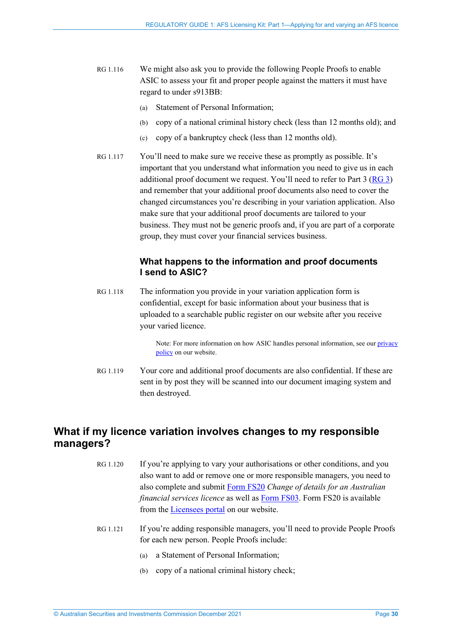- RG 1.116 We might also ask you to provide the following People Proofs to enable ASIC to assess your fit and proper people against the matters it must have regard to under s913BB:
	- (a) Statement of Personal Information;
	- (b) copy of a national criminal history check (less than 12 months old); and
	- (c) copy of a bankruptcy check (less than 12 months old).
- RG 1.117 You'll need to make sure we receive these as promptly as possible. It's important that you understand what information you need to give us in each additional proof document we request. You'll need to refer to Part  $3(RG_3)$ and remember that your additional proof documents also need to cover the changed circumstances you're describing in your variation application. Also make sure that your additional proof documents are tailored to your business. They must not be generic proofs and, if you are part of a corporate group, they must cover your financial services business.

#### **What happens to the information and proof documents I send to ASIC?**

RG 1.118 The information you provide in your variation application form is confidential, except for basic information about your business that is uploaded to a searchable public register on our website after you receive your varied licence.

> Note: For more information on how ASIC handles personal information, see ou[r privacy](https://asic.gov.au/about-asic/dealing-with-asic/privacy/)  [policy](https://asic.gov.au/about-asic/dealing-with-asic/privacy/) on our website.

RG 1.119 Your core and additional proof documents are also confidential. If these are sent in by post they will be scanned into our document imaging system and then destroyed.

## <span id="page-29-1"></span><span id="page-29-0"></span>**What if my licence variation involves changes to my responsible managers?**

- RG 1.120 If you're applying to vary your authorisations or other conditions, and you also want to add or remove one or more responsible managers, you need to also complete and submit [Form FS20](https://asic.gov.au/regulatory-resources/forms/forms-folder/fs20-change-of-details-for-an-australian-financial-services-licence/) *Change of details for an Australian financial services licence* as well a[s Form FS03.](https://asic.gov.au/regulatory-resources/forms/forms-folder/fs03-application-for-variation-of-authorisation-and-other-conditions/) Form FS20 is available from the [Licensees portal](http://www.asic.gov.au/licensees) on our website.
- RG 1.121 If you're adding responsible managers, you'll need to provide People Proofs for each new person. People Proofs include:
	- (a) a Statement of Personal Information;
	- (b) copy of a national criminal history check;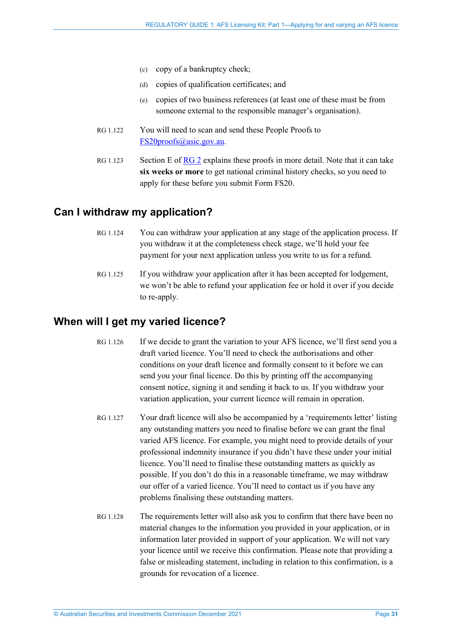- (c) copy of a bankruptcy check;
- (d) copies of qualification certificates; and
- (e) copies of two business references (at least one of these must be from someone external to the responsible manager's organisation).
- RG 1.122 You will need to scan and send these People Proofs to [FS20proofs@asic.gov.au.](mailto:FS20proofs@asic.gov.au)
- <span id="page-30-2"></span>RG 1.123 Section E of  $RG2$  explains these proofs in more detail. Note that it can take **six weeks or more** to get national criminal history checks, so you need to apply for these before you submit Form FS20.

## <span id="page-30-0"></span>**Can I withdraw my application?**

- RG 1.124 You can withdraw your application at any stage of the application process. If you withdraw it at the completeness check stage, we'll hold your fee payment for your next application unless you write to us for a refund.
- RG 1.125 If you withdraw your application after it has been accepted for lodgement, we won't be able to refund your application fee or hold it over if you decide to re-apply.

## <span id="page-30-1"></span>**When will I get my varied licence?**

- RG 1.126 If we decide to grant the variation to your AFS licence, we'll first send you a draft varied licence. You'll need to check the authorisations and other conditions on your draft licence and formally consent to it before we can send you your final licence. Do this by printing off the accompanying consent notice, signing it and sending it back to us. If you withdraw your variation application, your current licence will remain in operation.
- RG 1.127 Your draft licence will also be accompanied by a 'requirements letter' listing any outstanding matters you need to finalise before we can grant the final varied AFS licence. For example, you might need to provide details of your professional indemnity insurance if you didn't have these under your initial licence. You'll need to finalise these outstanding matters as quickly as possible. If you don't do this in a reasonable timeframe, we may withdraw our offer of a varied licence. You'll need to contact us if you have any problems finalising these outstanding matters.
- RG 1.128 The requirements letter will also ask you to confirm that there have been no material changes to the information you provided in your application, or in information later provided in support of your application. We will not vary your licence until we receive this confirmation. Please note that providing a false or misleading statement, including in relation to this confirmation, is a grounds for revocation of a licence.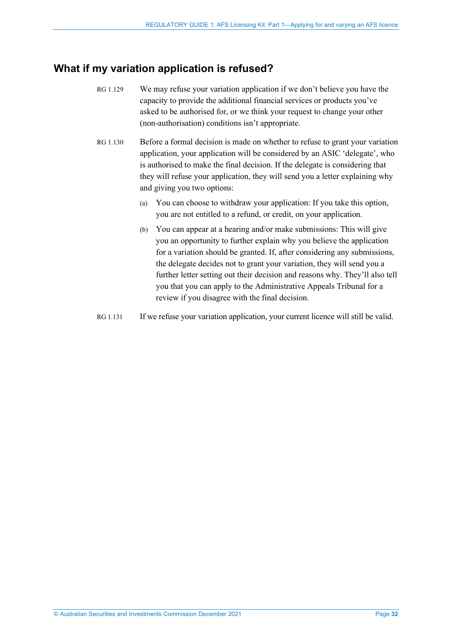## <span id="page-31-0"></span>**What if my variation application is refused?**

- RG 1.129 We may refuse your variation application if we don't believe you have the capacity to provide the additional financial services or products you've asked to be authorised for, or we think your request to change your other (non-authorisation) conditions isn't appropriate.
- RG 1.130 Before a formal decision is made on whether to refuse to grant your variation application, your application will be considered by an ASIC 'delegate', who is authorised to make the final decision. If the delegate is considering that they will refuse your application, they will send you a letter explaining why and giving you two options:
	- (a) You can choose to withdraw your application: If you take this option, you are not entitled to a refund, or credit, on your application.
	- (b) You can appear at a hearing and/or make submissions: This will give you an opportunity to further explain why you believe the application for a variation should be granted. If, after considering any submissions, the delegate decides not to grant your variation, they will send you a further letter setting out their decision and reasons why. They'll also tell you that you can apply to the Administrative Appeals Tribunal for a review if you disagree with the final decision.
- <span id="page-31-1"></span>RG 1.131 If we refuse your variation application, your current licence will still be valid.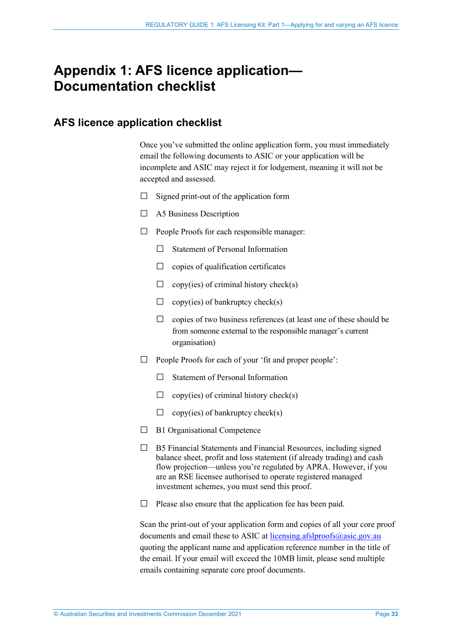## <span id="page-32-0"></span>**Appendix 1: AFS licence application— Documentation checklist**

## <span id="page-32-1"></span>**AFS licence application checklist**

Once you've submitted the online application form, you must immediately email the following documents to ASIC or your application will be incomplete and ASIC may reject it for lodgement, meaning it will not be accepted and assessed.

- $\Box$  Signed print-out of the application form
- □ A5 Business Description
- $\Box$  People Proofs for each responsible manager:
	- $\Box$  Statement of Personal Information
	- $\Box$  copies of qualification certificates
	- $\Box$  copy(ies) of criminal history check(s)
	- $\Box$  copy(ies) of bankruptcy check(s)
	- $\Box$  copies of two business references (at least one of these should be from someone external to the responsible manager's current organisation)
- □ People Proofs for each of your 'fit and proper people':
	- □ Statement of Personal Information
	- $\Box$  copy(ies) of criminal history check(s)
	- $\Box$  copy(ies) of bankruptcy check(s)
- $\Box$  B1 Organisational Competence
- $\Box$  B5 Financial Statements and Financial Resources, including signed balance sheet, profit and loss statement (if already trading) and cash flow projection—unless you're regulated by APRA. However, if you are an RSE licensee authorised to operate registered managed investment schemes, you must send this proof.
- $\Box$  Please also ensure that the application fee has been paid.

Scan the print-out of your application form and copies of all your core proof documents and email these to ASIC at licensing.afslproofs $\hat{\omega}$ asic.gov.au quoting the applicant name and application reference number in the title of the email. If your email will exceed the 10MB limit, please send multiple emails containing separate core proof documents.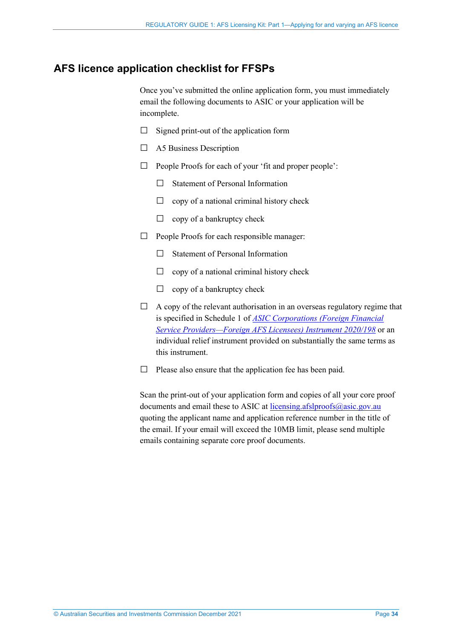## <span id="page-33-0"></span>**AFS licence application checklist for FFSPs**

Once you've submitted the online application form, you must immediately email the following documents to ASIC or your application will be incomplete.

- $\Box$  Signed print-out of the application form
- □ A5 Business Description
- $\Box$  People Proofs for each of your 'fit and proper people':
	- □ Statement of Personal Information
	- $\Box$  copy of a national criminal history check
	- $\Box$  copy of a bankruptcy check
- $\Box$  People Proofs for each responsible manager:
	- $\Box$  Statement of Personal Information
	- $\Box$  copy of a national criminal history check
	- $\Box$  copy of a bankruptcy check
- $\Box$  A copy of the relevant authorisation in an overseas regulatory regime that is specified in Schedule 1 of *[ASIC Corporations \(Foreign Financial](https://www.legislation.gov.au/current/F2020L00237)  [Service Providers—Foreign AFS Licensees\) Instrument 2020/198](https://www.legislation.gov.au/current/F2020L00237)* or an individual relief instrument provided on substantially the same terms as this instrument.
- $\Box$  Please also ensure that the application fee has been paid.

Scan the print-out of your application form and copies of all your core proof documents and email these to ASIC at licensing.afslproofs $\omega$ asic.gov.au quoting the applicant name and application reference number in the title of the email. If your email will exceed the 10MB limit, please send multiple emails containing separate core proof documents.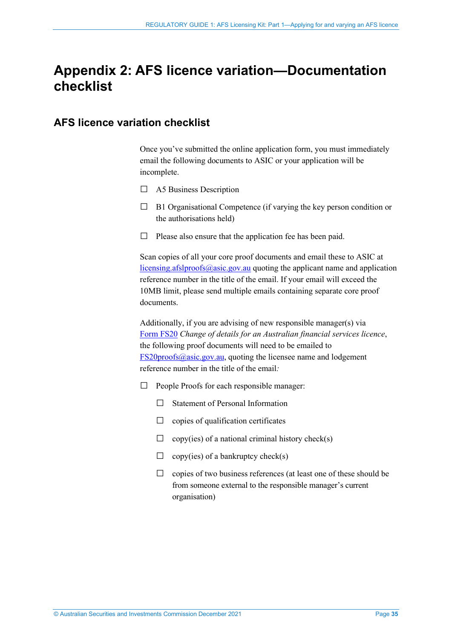## <span id="page-34-0"></span>**Appendix 2: AFS licence variation—Documentation checklist**

## <span id="page-34-1"></span>**AFS licence variation checklist**

Once you've submitted the online application form, you must immediately email the following documents to ASIC or your application will be incomplete.

- $\Box$  A5 Business Description
- $\Box$  B1 Organisational Competence (if varying the key person condition or the authorisations held)
- $\Box$  Please also ensure that the application fee has been paid.

Scan copies of all your core proof documents and email these to ASIC at [licensing.afslproofs@asic.gov.au](mailto:licensing.afslproofs@asic.gov.au) quoting the applicant name and application reference number in the title of the email. If your email will exceed the 10MB limit, please send multiple emails containing separate core proof documents.

Additionally, if you are advising of new responsible manager(s) via [Form](https://asic.gov.au/regulatory-resources/forms/forms-folder/fs20-change-of-details-for-an-australian-financial-services-licence/) FS20 *Change of details for an Australian financial services licence*, the following proof documents will need to be emailed to  $FS20<sub>proofs</sub>( $\omega$ asic.gov.au, quoting the license name and lodgement$ reference number in the title of the email*:*

- $\Box$  People Proofs for each responsible manager:
	- □ Statement of Personal Information
	- $\Box$  copies of qualification certificates
	- $\Box$  copy(ies) of a national criminal history check(s)
	- $\Box$  copy(ies) of a bankruptcy check(s)
	- $\Box$  copies of two business references (at least one of these should be from someone external to the responsible manager's current organisation)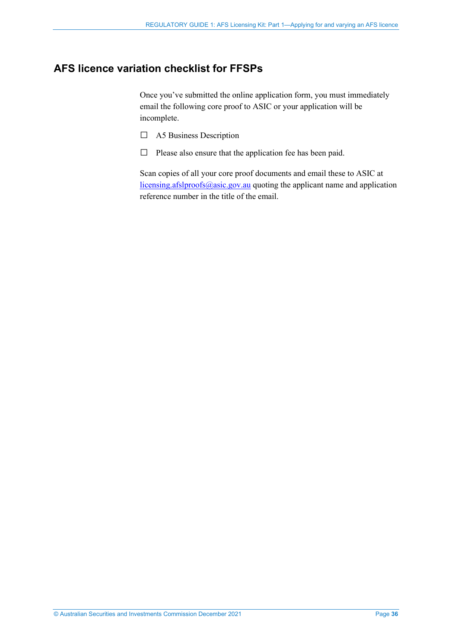## <span id="page-35-0"></span>**AFS licence variation checklist for FFSPs**

Once you've submitted the online application form, you must immediately email the following core proof to ASIC or your application will be incomplete.

- □ A5 Business Description
- □ Please also ensure that the application fee has been paid.

Scan copies of all your core proof documents and email these to ASIC at [licensing.afslproofs@asic.gov.au](mailto:licensing.afslproofs@asic.gov.au) quoting the applicant name and application reference number in the title of the email.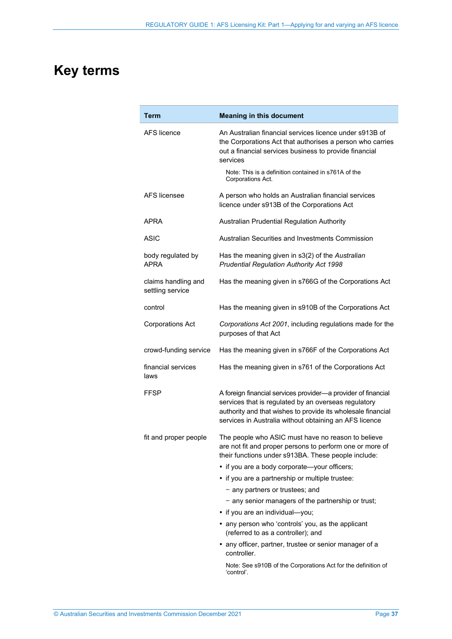## <span id="page-36-0"></span>**Key terms**

| Term                                    | <b>Meaning in this document</b>                                                                                                                                                                                                                 |
|-----------------------------------------|-------------------------------------------------------------------------------------------------------------------------------------------------------------------------------------------------------------------------------------------------|
| <b>AFS</b> licence                      | An Australian financial services licence under s913B of<br>the Corporations Act that authorises a person who carries<br>out a financial services business to provide financial<br>services                                                      |
|                                         | Note: This is a definition contained in s761A of the<br>Corporations Act.                                                                                                                                                                       |
| AFS licensee                            | A person who holds an Australian financial services<br>licence under s913B of the Corporations Act                                                                                                                                              |
| APRA                                    | Australian Prudential Regulation Authority                                                                                                                                                                                                      |
| <b>ASIC</b>                             | Australian Securities and Investments Commission                                                                                                                                                                                                |
| body regulated by<br><b>APRA</b>        | Has the meaning given in s3(2) of the Australian<br>Prudential Regulation Authority Act 1998                                                                                                                                                    |
| claims handling and<br>settling service | Has the meaning given in s766G of the Corporations Act                                                                                                                                                                                          |
| control                                 | Has the meaning given in s910B of the Corporations Act                                                                                                                                                                                          |
| <b>Corporations Act</b>                 | Corporations Act 2001, including regulations made for the<br>purposes of that Act                                                                                                                                                               |
| crowd-funding service                   | Has the meaning given in s766F of the Corporations Act                                                                                                                                                                                          |
| financial services<br>laws              | Has the meaning given in s761 of the Corporations Act                                                                                                                                                                                           |
| FFSP                                    | A foreign financial services provider-a provider of financial<br>services that is regulated by an overseas regulatory<br>authority and that wishes to provide its wholesale financial<br>services in Australia without obtaining an AFS licence |
| fit and proper people                   | The people who ASIC must have no reason to believe<br>are not fit and proper persons to perform one or more of<br>their functions under s913BA. These people include:                                                                           |
|                                         | • if you are a body corporate-your officers;                                                                                                                                                                                                    |
|                                         | • if you are a partnership or multiple trustee:                                                                                                                                                                                                 |
|                                         | - any partners or trustees; and                                                                                                                                                                                                                 |
|                                         | - any senior managers of the partnership or trust;                                                                                                                                                                                              |
|                                         | • if you are an individual-you;                                                                                                                                                                                                                 |
|                                         | • any person who 'controls' you, as the applicant<br>(referred to as a controller); and                                                                                                                                                         |
|                                         | • any officer, partner, trustee or senior manager of a<br>controller.                                                                                                                                                                           |
|                                         | Note: See s910B of the Corporations Act for the definition of<br>'control'.                                                                                                                                                                     |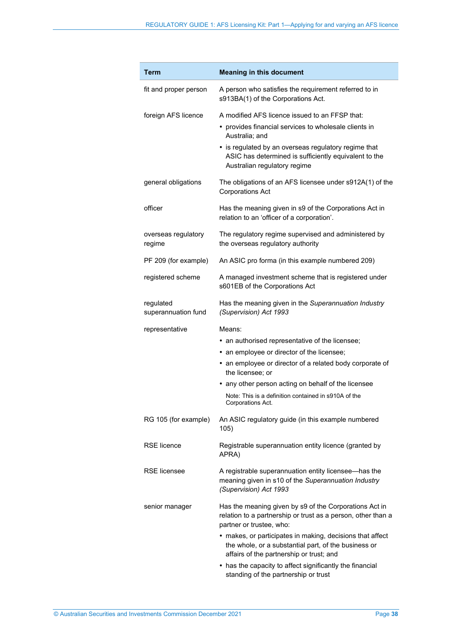| <b>Term</b>                      | <b>Meaning in this document</b>                                                                                                                               |
|----------------------------------|---------------------------------------------------------------------------------------------------------------------------------------------------------------|
| fit and proper person            | A person who satisfies the requirement referred to in<br>s913BA(1) of the Corporations Act.                                                                   |
| foreign AFS licence              | A modified AFS licence issued to an FFSP that:                                                                                                                |
|                                  | • provides financial services to wholesale clients in<br>Australia; and                                                                                       |
|                                  | • is regulated by an overseas regulatory regime that<br>ASIC has determined is sufficiently equivalent to the<br>Australian regulatory regime                 |
| general obligations              | The obligations of an AFS licensee under s912A(1) of the<br><b>Corporations Act</b>                                                                           |
| officer                          | Has the meaning given in s9 of the Corporations Act in<br>relation to an 'officer of a corporation'.                                                          |
| overseas regulatory<br>regime    | The regulatory regime supervised and administered by<br>the overseas regulatory authority                                                                     |
| PF 209 (for example)             | An ASIC pro forma (in this example numbered 209)                                                                                                              |
| registered scheme                | A managed investment scheme that is registered under<br>s601EB of the Corporations Act                                                                        |
| regulated<br>superannuation fund | Has the meaning given in the Superannuation Industry<br>(Supervision) Act 1993                                                                                |
| representative                   | Means:                                                                                                                                                        |
|                                  | • an authorised representative of the licensee;                                                                                                               |
|                                  | • an employee or director of the licensee;                                                                                                                    |
|                                  | • an employee or director of a related body corporate of<br>the licensee; or                                                                                  |
|                                  | • any other person acting on behalf of the licensee                                                                                                           |
|                                  | Note: This is a definition contained in s910A of the<br>Corporations Act.                                                                                     |
| RG 105 (for example)             | An ASIC regulatory guide (in this example numbered<br>105)                                                                                                    |
| <b>RSE</b> licence               | Registrable superannuation entity licence (granted by<br>APRA)                                                                                                |
| <b>RSE</b> licensee              | A registrable superannuation entity licensee-has the<br>meaning given in s10 of the Superannuation Industry<br>(Supervision) Act 1993                         |
| senior manager                   | Has the meaning given by s9 of the Corporations Act in<br>relation to a partnership or trust as a person, other than a<br>partner or trustee, who:            |
|                                  | • makes, or participates in making, decisions that affect<br>the whole, or a substantial part, of the business or<br>affairs of the partnership or trust; and |
|                                  | • has the capacity to affect significantly the financial<br>standing of the partnership or trust                                                              |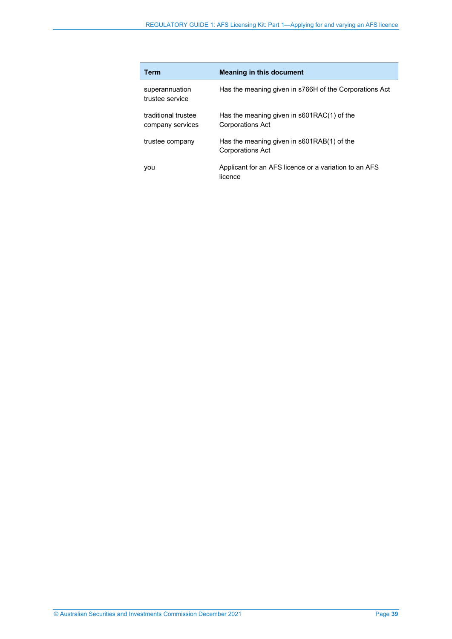| <b>Term</b>                             | <b>Meaning in this document</b>                                         |
|-----------------------------------------|-------------------------------------------------------------------------|
| superannuation<br>trustee service       | Has the meaning given in s766H of the Corporations Act                  |
| traditional trustee<br>company services | Has the meaning given in $s601RAC(1)$ of the<br><b>Corporations Act</b> |
| trustee company                         | Has the meaning given in s601RAB(1) of the<br><b>Corporations Act</b>   |
| vou                                     | Applicant for an AFS licence or a variation to an AFS<br>licence        |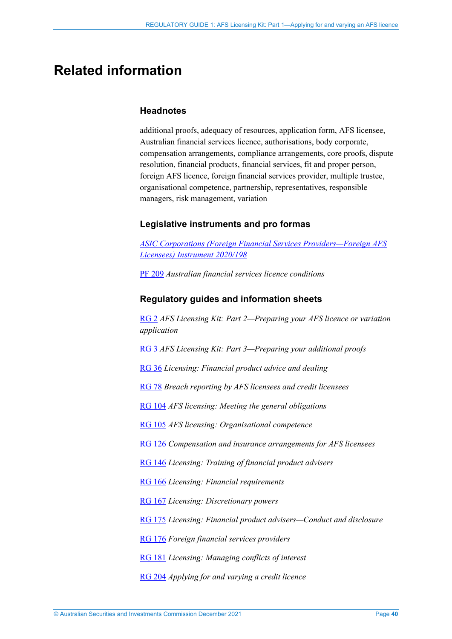## <span id="page-39-0"></span>**Related information**

#### **Headnotes**

additional proofs, adequacy of resources, application form, AFS licensee, Australian financial services licence, authorisations, body corporate, compensation arrangements, compliance arrangements, core proofs, dispute resolution, financial products, financial services, fit and proper person, foreign AFS licence, foreign financial services provider, multiple trustee, organisational competence, partnership, representatives, responsible managers, risk management, variation

#### **Legislative instruments and pro formas**

*[ASIC Corporations \(Foreign Financial Services Providers—Foreign AFS](https://www.legislation.gov.au/current/F2020L00237)  [Licensees\) Instrument 2020/198](https://www.legislation.gov.au/current/F2020L00237)*

[PF 209](https://asic.gov.au/for-finance-professionals/afs-licensees/applying-for-and-managing-an-afs-licence/australian-financial-services-licence-conditions-pro-forma-209/) *Australian financial services licence conditions*

#### **Regulatory guides and information sheets**

[RG 2](http://asic.gov.au/regulatory-resources/find-a-document/regulatory-guides/rg-2-afs-licensing-kit-part-2-preparing-your-afs-licence-application/) *AFS Licensing Kit: Part 2—Preparing your AFS licence or variation application*

[RG 3](http://asic.gov.au/regulatory-resources/find-a-document/regulatory-guides/rg-3-afs-licensing-kit-part-3-preparing-your-additional-proofs/) *AFS Licensing Kit: Part 3—Preparing your additional proofs*

[RG 36](http://asic.gov.au/regulatory-resources/find-a-document/regulatory-guides/rg-36-licensing-financial-product-advice-and-dealing/) *Licensing: Financial product advice and dealing*

[RG 78](https://asic.gov.au/regulatory-resources/find-a-document/regulatory-guides/rg-78-breach-reporting-by-afs-licensees-and-credit-licensees/) *Breach reporting by AFS licensees and credit licensees*

[RG 104](https://asic.gov.au/regulatory-resources/find-a-document/regulatory-guides/rg-104-afs-licensing-meeting-the-general-obligations/) *AFS licensing: Meeting the general obligations*

[RG 105](https://asic.gov.au/regulatory-resources/find-a-document/regulatory-guides/rg-105-afs-licensing-organisational-competence/) *AFS licensing: Organisational competence*

[RG 126](http://asic.gov.au/regulatory-resources/find-a-document/regulatory-guides/rg-126-compensation-and-insurance-arrangements-for-afs-licensees/) *Compensation and insurance arrangements for AFS licensees*

[RG 146](http://asic.gov.au/regulatory-resources/find-a-document/regulatory-guides/rg-146-licensing-training-of-financial-product-advisers/) *Licensing: Training of financial product advisers*

[RG 166](http://asic.gov.au/regulatory-resources/find-a-document/regulatory-guides/rg-166-licensing-financial-requirements/) *Licensing: Financial requirements*

[RG 167](http://asic.gov.au/regulatory-resources/find-a-document/regulatory-guides/rg-167-licensing-discretionary-powers/) *Licensing: Discretionary powers*

[RG 175](http://asic.gov.au/regulatory-resources/find-a-document/regulatory-guides/rg-175-licensing-financial-product-advisers-conduct-and-disclosure/) *Licensing: Financial product advisers—Conduct and disclosure* 

[RG 176](https://asic.gov.au/regulatory-resources/find-a-document/regulatory-guides/rg-176-foreign-financial-services-providers/) *Foreign financial services providers*

[RG 181](http://asic.gov.au/regulatory-resources/find-a-document/regulatory-guides/rg-181-licensing-managing-conflicts-of-interest/) *Licensing: Managing conflicts of interest*

[RG 204](https://asic.gov.au/regulatory-resources/find-a-document/regulatory-guides/rg-204-applying-for-and-varying-a-credit-licence/) *Applying for and varying a credit licence*